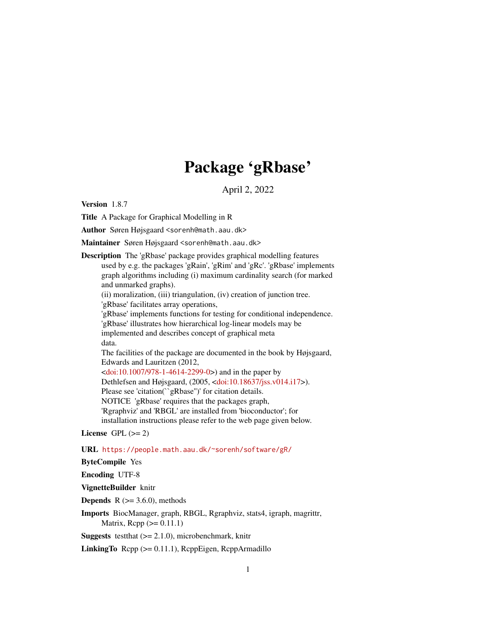# Package 'gRbase'

April 2, 2022

Version 1.8.7

Title A Package for Graphical Modelling in R

Author Søren Højsgaard <sorenh@math.aau.dk>

Maintainer Søren Højsgaard <sorenh@math.aau.dk>

Description The 'gRbase' package provides graphical modelling features used by e.g. the packages 'gRain', 'gRim' and 'gRc'. 'gRbase' implements graph algorithms including (i) maximum cardinality search (for marked and unmarked graphs). (ii) moralization, (iii) triangulation, (iv) creation of junction tree. 'gRbase' facilitates array operations, 'gRbase' implements functions for testing for conditional independence. 'gRbase' illustrates how hierarchical log-linear models may be implemented and describes concept of graphical meta data. The facilities of the package are documented in the book by Højsgaard, Edwards and Lauritzen (2012,  $\langle \text{doi:10.1007/978-1-4614-2299-0>}\rangle$  and in the paper by Dethlefsen and Højsgaard, (2005, [<doi:10.18637/jss.v014.i17>](https://doi.org/10.18637/jss.v014.i17)). Please see 'citation(``gRbase'')' for citation details. NOTICE 'gRbase' requires that the packages graph, 'Rgraphviz' and 'RBGL' are installed from 'bioconductor'; for installation instructions please refer to the web page given below.

License GPL  $(>= 2)$ 

URL <https://people.math.aau.dk/~sorenh/software/gR/>

ByteCompile Yes

Encoding UTF-8

VignetteBuilder knitr

**Depends** R  $(>= 3.6.0)$ , methods

Imports BiocManager, graph, RBGL, Rgraphviz, stats4, igraph, magrittr, Matrix,  $\text{Rcpp} (> = 0.11.1)$ 

**Suggests** test that  $(>= 2.1.0)$ , microbenchmark, knitr

LinkingTo Rcpp (>= 0.11.1), RcppEigen, RcppArmadillo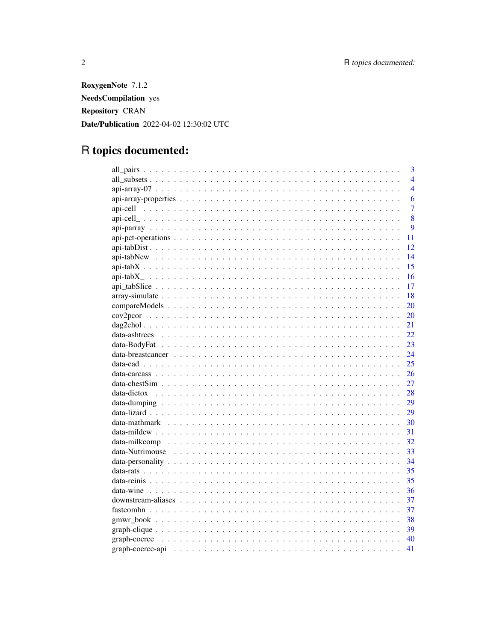RoxygenNote 7.1.2 **NeedsCompilation** yes **Repository CRAN** Date/Publication 2022-04-02 12:30:02 UTC

# R topics documented:

| 3              |
|----------------|
| $\overline{4}$ |
| $\overline{4}$ |
| 6              |
| $\overline{7}$ |
| 8              |
| 9              |
| 11             |
| 12             |
| 14             |
| 15             |
| 16             |
| 17             |
| 18             |
| 20             |
| 20             |
| 21             |
| 22             |
| 23             |
| 24             |
| 25             |
| 26             |
| 27             |
| 28             |
| 29             |
| 29             |
| 30             |
| 31             |
| 32             |
| 33             |
| 34             |
| 35             |
| 35             |
| 36             |
| 37             |
| 37             |
|                |
|                |
|                |
| 41             |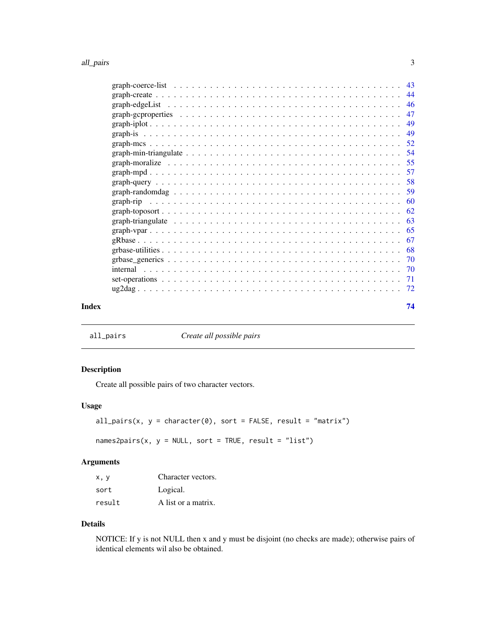#### <span id="page-2-0"></span>all\_pairs 3

| Index |  |  |  |  |  |  | 74 |
|-------|--|--|--|--|--|--|----|
|       |  |  |  |  |  |  |    |
|       |  |  |  |  |  |  |    |
|       |  |  |  |  |  |  |    |
|       |  |  |  |  |  |  |    |
|       |  |  |  |  |  |  |    |
|       |  |  |  |  |  |  |    |
|       |  |  |  |  |  |  |    |
|       |  |  |  |  |  |  |    |
|       |  |  |  |  |  |  |    |
|       |  |  |  |  |  |  |    |
|       |  |  |  |  |  |  |    |
|       |  |  |  |  |  |  |    |
|       |  |  |  |  |  |  |    |
|       |  |  |  |  |  |  |    |
|       |  |  |  |  |  |  |    |
|       |  |  |  |  |  |  |    |
|       |  |  |  |  |  |  |    |
|       |  |  |  |  |  |  |    |
|       |  |  |  |  |  |  |    |
|       |  |  |  |  |  |  |    |
|       |  |  |  |  |  |  |    |
|       |  |  |  |  |  |  |    |

all\_pairs *Create all possible pairs*

# Description

Create all possible pairs of two character vectors.

# Usage

```
all_pairs(x, y = character(0), sort = FALSE, result = "matrix")
```
 $names2pairs(x, y = NULL, sort = TRUE, result = "list")$ 

# Arguments

| x.v    | Character vectors.  |
|--------|---------------------|
| sort   | Logical.            |
| result | A list or a matrix. |

# Details

NOTICE: If y is not NULL then x and y must be disjoint (no checks are made); otherwise pairs of identical elements wil also be obtained.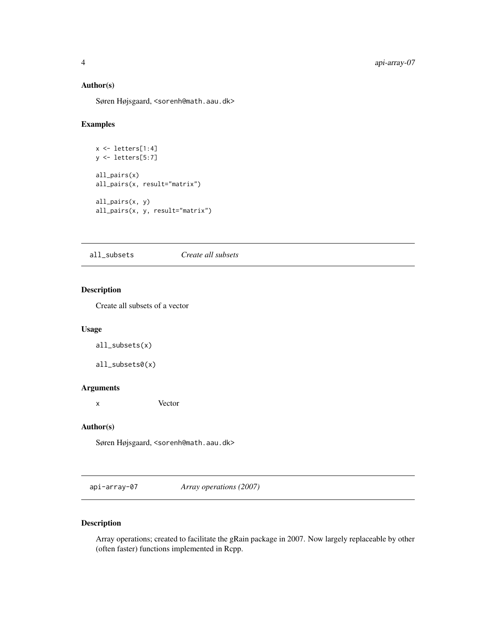# <span id="page-3-0"></span>Author(s)

Søren Højsgaard, <sorenh@math.aau.dk>

# Examples

```
x <- letters[1:4]
y <- letters[5:7]
all_pairs(x)
all_pairs(x, result="matrix")
all_pairs(x, y)
all_pairs(x, y, result="matrix")
```
all\_subsets *Create all subsets*

# Description

Create all subsets of a vector

### Usage

all\_subsets(x)

all\_subsets0(x)

# Arguments

x Vector

# Author(s)

Søren Højsgaard, <sorenh@math.aau.dk>

api-array-07 *Array operations (2007)*

# Description

Array operations; created to facilitate the gRain package in 2007. Now largely replaceable by other (often faster) functions implemented in Rcpp.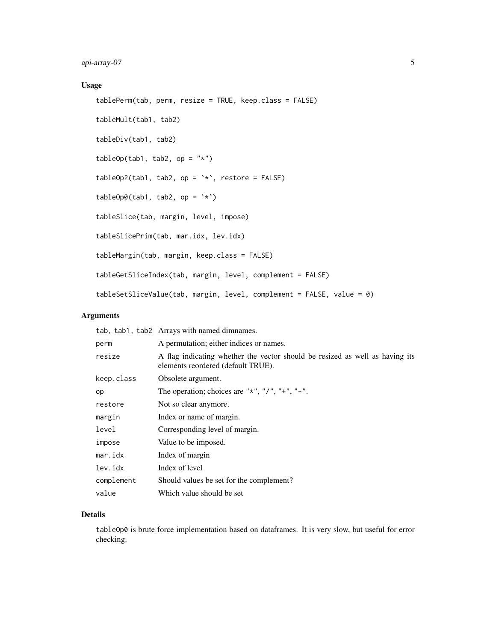# Usage

```
tablePerm(tab, perm, resize = TRUE, keep.class = FALSE)
tableMult(tab1, tab2)
tableDiv(tab1, tab2)
tableOp(tab1, tab2, op = "*")tableOp2(tab1, tab2, op = \rightarrow \rightarrow \rightarrow, restore = FALSE)
tableOp0(tab1, tab2, op = \rightarrow \rightarrow \rightarrow)
tableSlice(tab, margin, level, impose)
tableSlicePrim(tab, mar.idx, lev.idx)
tableMargin(tab, margin, keep.class = FALSE)
tableGetSliceIndex(tab, margin, level, complement = FALSE)
tableSetSliceValue(tab, margin, level, complement = FALSE, value = 0)
```
# Arguments

|            | tab, tab1, tab2 Arrays with named dimnames.                                                                        |
|------------|--------------------------------------------------------------------------------------------------------------------|
| perm       | A permutation; either indices or names.                                                                            |
| resize     | A flag indicating whether the vector should be resized as well as having its<br>elements reordered (default TRUE). |
| keep.class | Obsolete argument.                                                                                                 |
| op         | The operation; choices are " $*$ ", "/", " $+$ ", " $-$ ".                                                         |
| restore    | Not so clear anymore.                                                                                              |
| margin     | Index or name of margin.                                                                                           |
| level      | Corresponding level of margin.                                                                                     |
| impose     | Value to be imposed.                                                                                               |
| mar.idx    | Index of margin                                                                                                    |
| lev.idx    | Index of level                                                                                                     |
| complement | Should values be set for the complement?                                                                           |
| value      | Which value should be set                                                                                          |

# Details

tableOp0 is brute force implementation based on dataframes. It is very slow, but useful for error checking.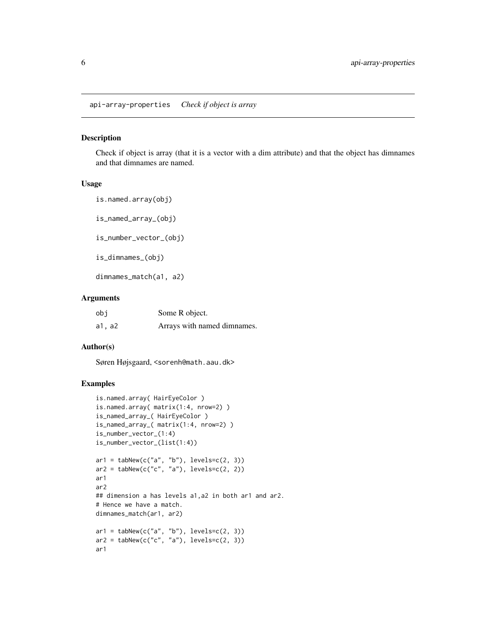<span id="page-5-0"></span>api-array-properties *Check if object is array*

# <span id="page-5-1"></span>Description

Check if object is array (that it is a vector with a dim attribute) and that the object has dimnames and that dimnames are named.

#### Usage

is.named.array(obj) is\_named\_array\_(obj) is\_number\_vector\_(obj) is\_dimnames\_(obj)

dimnames\_match(a1, a2)

#### Arguments

| obi    | Some R object.              |
|--------|-----------------------------|
| a1, a2 | Arrays with named dimnames. |

#### Author(s)

Søren Højsgaard, <sorenh@math.aau.dk>

```
is.named.array( HairEyeColor )
is.named.array( matrix(1:4, nrow=2) )
is_named_array_( HairEyeColor )
is_named_array_( matrix(1:4, nrow=2) )
is_number_vector_(1:4)
is_number_vector_(list(1:4))
ar1 = tabNew(c("a", "b"), levels=c(2, 3))ar2 = tabNew(c("c", "a"), levels=c(2, 2))ar1
ar2
## dimension a has levels a1,a2 in both ar1 and ar2.
# Hence we have a match.
dimnames_match(ar1, ar2)
ar1 = tabNew(c("a", "b"), levels=c(2, 3))ar2 = tabNew(c("c", "a"), levels=c(2, 3))
ar1
```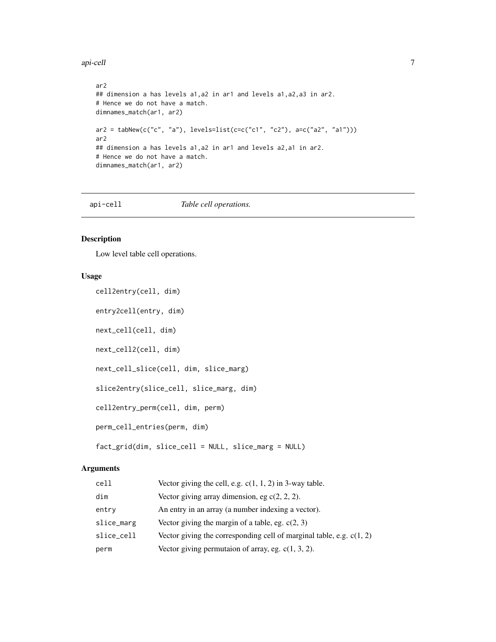<span id="page-6-0"></span>api-cell 7

```
ar2
## dimension a has levels a1,a2 in ar1 and levels a1,a2,a3 in ar2.
# Hence we do not have a match.
dimnames_match(ar1, ar2)
ar2 = tabNew(c("c", 'a"), levels=list(c=c("c1", 'c2"), a=c("a2", 'a1"))ar2
## dimension a has levels a1,a2 in ar1 and levels a2,a1 in ar2.
# Hence we do not have a match.
dimnames_match(ar1, ar2)
```
api-cell *Table cell operations.*

# Description

Low level table cell operations.

# Usage

```
cell2entry(cell, dim)
entry2cell(entry, dim)
next_cell(cell, dim)
next_cell2(cell, dim)
next_cell_slice(cell, dim, slice_marg)
slice2entry(slice_cell, slice_marg, dim)
cell2entry_perm(cell, dim, perm)
perm_cell_entries(perm, dim)
fact_grid(dim, slice_cell = NULL, slice_marg = NULL)
```
# Arguments

| cell       | Vector giving the cell, e.g. $c(1, 1, 2)$ in 3-way table.              |
|------------|------------------------------------------------------------------------|
| dim        | Vector giving array dimension, eg $c(2, 2, 2)$ .                       |
| entry      | An entry in an array (a number indexing a vector).                     |
| slice_marg | Vector giving the margin of a table, eg. $c(2, 3)$                     |
| slice_cell | Vector giving the corresponding cell of marginal table, e.g. $c(1, 2)$ |
| perm       | Vector giving permutaion of array, eg. $c(1, 3, 2)$ .                  |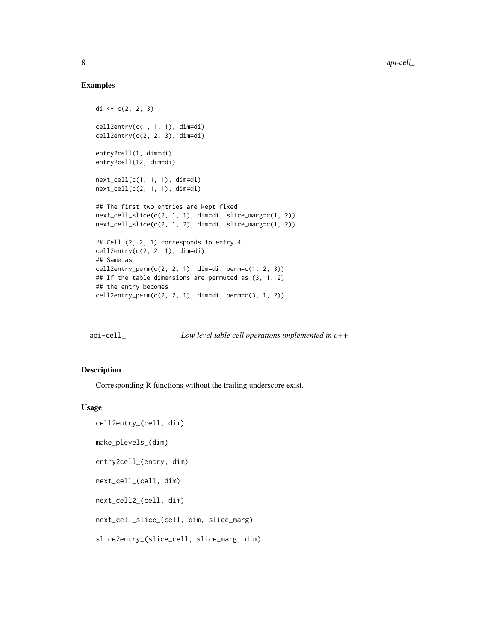# Examples

```
di \leq c(2, 2, 3)cell2entry(c(1, 1, 1), dim=di)
cell2entry(c(2, 2, 3), dim=di)
entry2cell(1, dim=di)
entry2cell(12, dim=di)
next_cell(c(1, 1, 1), dim=di)
next\_cell(c(2, 1, 1), dim=di)## The first two entries are kept fixed
next_cell_slice(c(2, 1, 1), dim=di, slice_marg=c(1, 2))
next_cell_slice(c(2, 1, 2), dim=di, slice_marg=c(1, 2))
## Cell (2, 2, 1) corresponds to entry 4
cell2entry(c(2, 2, 1), dim=di)
## Same as
cell2entry_perm(c(2, 2, 1), dim=di, perm=c(1, 2, 3))
## If the table dimensions are permuted as (3, 1, 2)
## the entry becomes
cell2entry_perm(c(2, 2, 1), dim=di, perm=c(3, 1, 2))
```
api-cell\_ *Low level table cell operations implemented in c++*

#### Description

Corresponding R functions without the trailing underscore exist.

#### Usage

```
cell2entry_(cell, dim)
```

```
make_plevels_(dim)
```
entry2cell\_(entry, dim)

next\_cell\_(cell, dim)

next\_cell2\_(cell, dim)

next\_cell\_slice\_(cell, dim, slice\_marg)

```
slice2entry_(slice_cell, slice_marg, dim)
```
<span id="page-7-0"></span>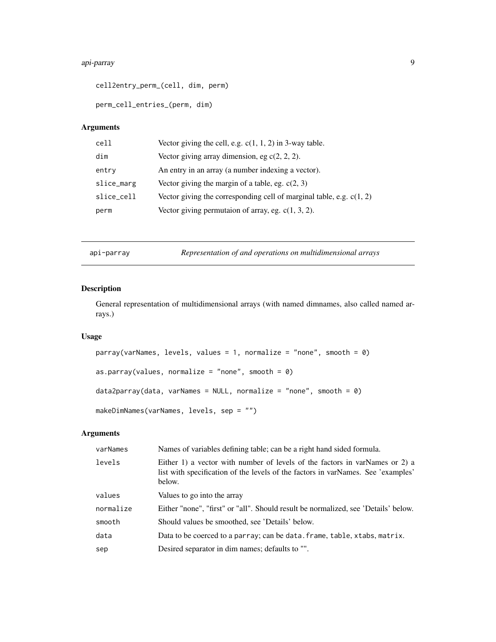# <span id="page-8-0"></span>api-parray 9

cell2entry\_perm\_(cell, dim, perm)

perm\_cell\_entries\_(perm, dim)

# Arguments

| cell       | Vector giving the cell, e.g. $c(1, 1, 2)$ in 3-way table.              |
|------------|------------------------------------------------------------------------|
| dim        | Vector giving array dimension, eg $c(2, 2, 2)$ .                       |
| entry      | An entry in an array (a number indexing a vector).                     |
| slice_marg | Vector giving the margin of a table, eg. $c(2, 3)$                     |
| slice_cell | Vector giving the corresponding cell of marginal table, e.g. $c(1, 2)$ |
| perm       | Vector giving permutaion of array, eg. $c(1, 3, 2)$ .                  |

api-parray *Representation of and operations on multidimensional arrays*

# Description

General representation of multidimensional arrays (with named dimnames, also called named arrays.)

# Usage

```
parray(varNames, levels, values = 1, normalize = "none", smooth = 0)as.parray(values, normalize = "none", smooth = 0)
data2parray(data, varNames = NULL, normalize = "none", smooth = 0)
makeDimNames(varNames, levels, sep = "")
```
# Arguments

| varNames  | Names of variables defining table; can be a right hand sided formula.                                                                                                     |
|-----------|---------------------------------------------------------------------------------------------------------------------------------------------------------------------------|
| levels    | Either 1) a vector with number of levels of the factors in varNames or 2) a<br>list with specification of the levels of the factors in varNames. See 'examples'<br>below. |
| values    | Values to go into the array                                                                                                                                               |
| normalize | Either "none", "first" or "all". Should result be normalized, see 'Details' below.                                                                                        |
| smooth    | Should values be smoothed, see 'Details' below.                                                                                                                           |
| data      | Data to be coerced to a parray; can be data. frame, table, xtabs, matrix.                                                                                                 |
| sep       | Desired separator in dim names; defaults to "".                                                                                                                           |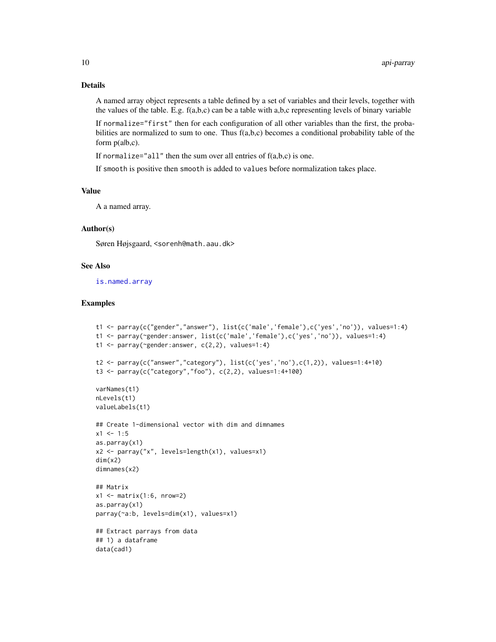# Details

A named array object represents a table defined by a set of variables and their levels, together with the values of the table. E.g.  $f(a,b,c)$  can be a table with  $a,b,c$  representing levels of binary variable

If normalize="first" then for each configuration of all other variables than the first, the probabilities are normalized to sum to one. Thus  $f(a,b,c)$  becomes a conditional probability table of the form  $p($ alb,c).

If normalize="all" then the sum over all entries of  $f(a,b,c)$  is one.

If smooth is positive then smooth is added to values before normalization takes place.

# Value

A a named array.

#### Author(s)

Søren Højsgaard, <sorenh@math.aau.dk>

# See Also

[is.named.array](#page-5-1)

```
t1 <- parray(c("gender","answer"), list(c('male','female'),c('yes','no')), values=1:4)
t1 <- parray(~gender:answer, list(c('male','female'),c('yes','no')), values=1:4)
t1 <- parray(~gender:answer, c(2,2), values=1:4)
t2 <- parray(c("answer","category"), list(c('yes', 'no'), c(1,2)), values=1:4+10)
t3 < - parray(c("category","foo"), c(2,2), values=1:4+100)
varNames(t1)
nLevels(t1)
valueLabels(t1)
## Create 1-dimensional vector with dim and dimnames
x1 < -1:5as.parray(x1)
x2 <- parray("x", levels=length(x1), values=x1)
dim(x2)
dimnames(x2)
## Matrix
x1 \leftarrow \text{matrix}(1:6, \text{nrow=2})as.parray(x1)
parray(~a:b, levels=dim(x1), values=x1)
## Extract parrays from data
## 1) a dataframe
data(cad1)
```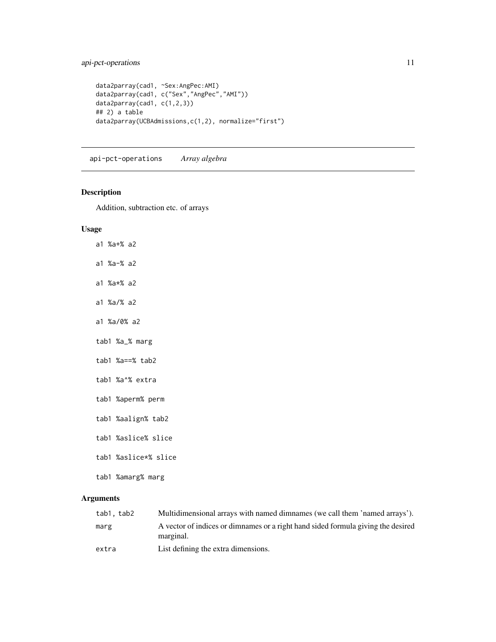```
data2parray(cad1, ~Sex:AngPec:AMI)
data2parray(cad1, c("Sex","AngPec","AMI"))
data2parray(cad1, c(1,2,3))
## 2) a table
data2parray(UCBAdmissions,c(1,2), normalize="first")
```
api-pct-operations *Array algebra*

# Description

Addition, subtraction etc. of arrays

# Usage

- a1 %a+% a2
- a1 %a-% a2
- a1 %a\*% a2
- a1 %a/% a2
- a1 %a/0% a2
- tab1 %a\_% marg
- tab1 %a==% tab2
- tab1 %a^% extra
- tab1 %aperm% perm
- tab1 %aalign% tab2
- tab1 %aslice% slice
- tab1 %aslice\*% slice
- tab1 %amarg% marg

#### Arguments

| tab1.tab2 | Multidimensional arrays with named dimnames (we call them 'named arrays').                    |
|-----------|-----------------------------------------------------------------------------------------------|
| marg      | A vector of indices or dimnames or a right hand sided formula giving the desired<br>marginal. |
| extra     | List defining the extra dimensions.                                                           |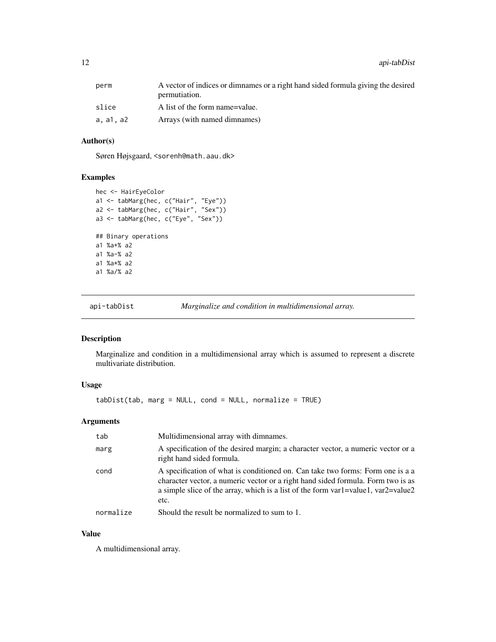<span id="page-11-0"></span>

| perm      | A vector of indices or dimnames or a right hand sided formula giving the desired<br>permutiation. |
|-----------|---------------------------------------------------------------------------------------------------|
| slice     | A list of the form name=value.                                                                    |
| a. a1. a2 | Arrays (with named dimnames)                                                                      |

# Author(s)

Søren Højsgaard, <sorenh@math.aau.dk>

#### Examples

```
hec <- HairEyeColor
a1 <- tabMarg(hec, c("Hair", "Eye"))
a2 <- tabMarg(hec, c("Hair", "Sex"))
a3 <- tabMarg(hec, c("Eye", "Sex"))
## Binary operations
a1 %a+% a2
a1 %a-% a2
a1 %a*% a2
a1 %a/% a2
```
api-tabDist *Marginalize and condition in multidimensional array.*

# Description

Marginalize and condition in a multidimensional array which is assumed to represent a discrete multivariate distribution.

# Usage

tabDist(tab, marg = NULL, cond = NULL, normalize = TRUE)

# Arguments

| tab       | Multidimensional array with dimnames.                                                                                                                                                                                                                           |
|-----------|-----------------------------------------------------------------------------------------------------------------------------------------------------------------------------------------------------------------------------------------------------------------|
| marg      | A specification of the desired margin; a character vector, a numeric vector or a<br>right hand sided formula.                                                                                                                                                   |
| cond      | A specification of what is conditioned on. Can take two forms: Form one is a a<br>character vector, a numeric vector or a right hand sided formula. Form two is as<br>a simple slice of the array, which is a list of the form var1=value1, var2=value2<br>etc. |
| normalize | Should the result be normalized to sum to 1.                                                                                                                                                                                                                    |

# Value

A multidimensional array.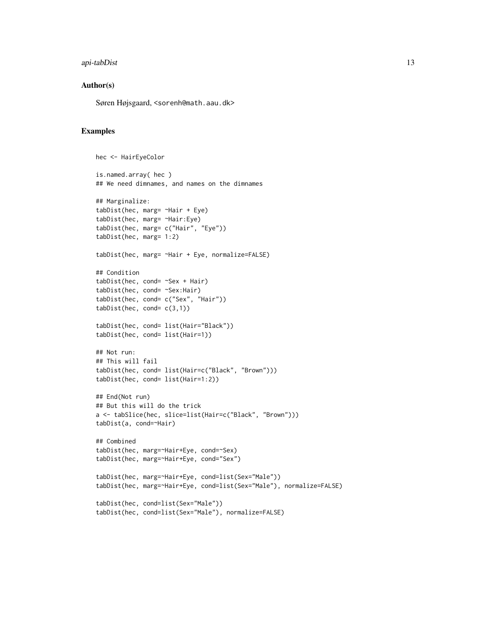# api-tabDist 13

#### Author(s)

Søren Højsgaard, <sorenh@math.aau.dk>

```
hec <- HairEyeColor
is.named.array( hec )
## We need dimnames, and names on the dimnames
## Marginalize:
tabDist(hec, marg= ~Hair + Eye)
tabDist(hec, marg= ~Hair:Eye)
tabDist(hec, marg= c("Hair", "Eye"))
tabDist(hec, marg= 1:2)
tabDist(hec, marg= ~Hair + Eye, normalize=FALSE)
## Condition
tabDist(hec, cond= ~Sex + Hair)
tabDist(hec, cond= ~Sex:Hair)
tabDist(hec, cond= c("Sex", "Hair"))
tabDist(hec, cond= c(3,1))
tabDist(hec, cond= list(Hair="Black"))
tabDist(hec, cond= list(Hair=1))
## Not run:
## This will fail
tabDist(hec, cond= list(Hair=c("Black", "Brown")))
tabDist(hec, cond= list(Hair=1:2))
## End(Not run)
## But this will do the trick
a <- tabSlice(hec, slice=list(Hair=c("Black", "Brown")))
tabDist(a, cond=~Hair)
## Combined
tabDist(hec, marg=~Hair+Eye, cond=~Sex)
tabDist(hec, marg=~Hair+Eye, cond="Sex")
tabDist(hec, marg=~Hair+Eye, cond=list(Sex="Male"))
tabDist(hec, marg=~Hair+Eye, cond=list(Sex="Male"), normalize=FALSE)
tabDist(hec, cond=list(Sex="Male"))
tabDist(hec, cond=list(Sex="Male"), normalize=FALSE)
```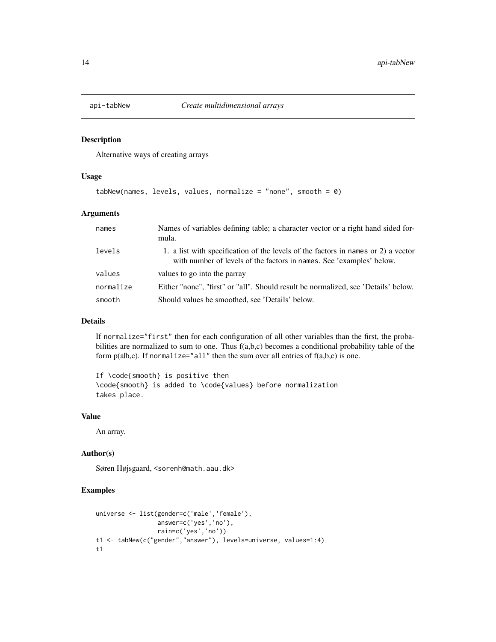<span id="page-13-0"></span>

# Description

Alternative ways of creating arrays

#### Usage

```
tabNew(names, levels, values, normalize = "none", smooth = \emptyset)
```
# Arguments

| names     | Names of variables defining table; a character vector or a right hand sided for-<br>mula.                                                                 |
|-----------|-----------------------------------------------------------------------------------------------------------------------------------------------------------|
| levels    | 1. a list with specification of the levels of the factors in names or 2) a vector<br>with number of levels of the factors in names. See 'examples' below. |
| values    | values to go into the parray                                                                                                                              |
| normalize | Either "none", "first" or "all". Should result be normalized, see 'Details' below.                                                                        |
| smooth    | Should values be smoothed, see 'Details' below.                                                                                                           |

# Details

If normalize="first" then for each configuration of all other variables than the first, the probabilities are normalized to sum to one. Thus  $f(a,b,c)$  becomes a conditional probability table of the form  $p(ab,c)$ . If normalize="all" then the sum over all entries of  $f(a,b,c)$  is one.

If \code{smooth} is positive then \code{smooth} is added to \code{values} before normalization takes place.

#### Value

An array.

#### Author(s)

Søren Højsgaard, <sorenh@math.aau.dk>

```
universe <- list(gender=c('male','female'),
                 answer=c('yes','no'),
                 rain=c('yes','no'))
t1 <- tabNew(c("gender","answer"), levels=universe, values=1:4)
t1
```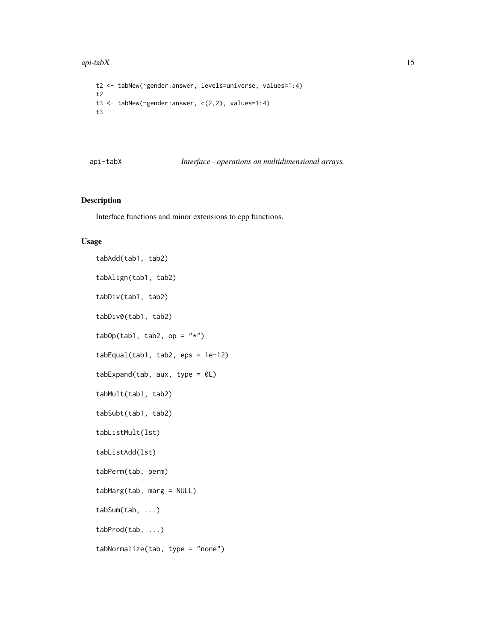#### <span id="page-14-0"></span>api-tab $X$  15

```
t2 <- tabNew(~gender:answer, levels=universe, values=1:4)
t2
t3 <- tabNew(~gender:answer, c(2,2), values=1:4)
t3
```
# api-tabX *Interface - operations on multidimensional arrays.*

# Description

Interface functions and minor extensions to cpp functions.

#### Usage

```
tabAdd(tab1, tab2)
tabAlign(tab1, tab2)
tabDiv(tab1, tab2)
tabDiv0(tab1, tab2)
tabOp(tab1, tab2, op = "*")tabEqual(tab1, tab2, eps = 1e-12)
tabExpand(tab, aux, type = 0L)
tabMult(tab1, tab2)
tabSubt(tab1, tab2)
tabListMult(lst)
tabListAdd(lst)
tabPerm(tab, perm)
tabMarg(tab, marg = NULL)
tabSum(tab, ...)
tabProd(tab, ...)
tabNormalize(tab, type = "none")
```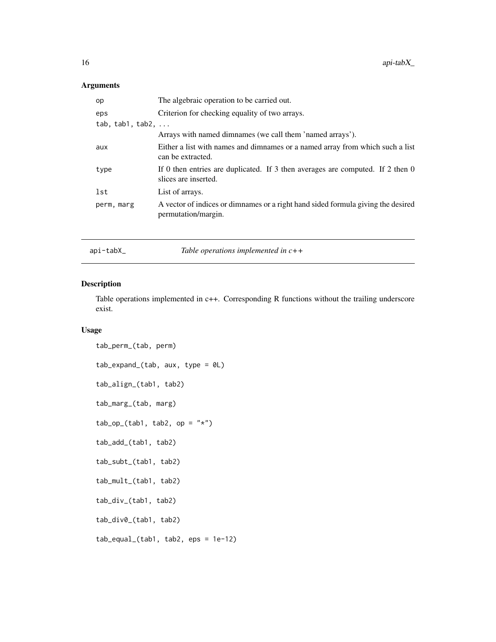# <span id="page-15-0"></span>Arguments

| op               | The algebraic operation to be carried out.                                                              |
|------------------|---------------------------------------------------------------------------------------------------------|
| eps              | Criterion for checking equality of two arrays.                                                          |
| tab, tab1, tab2, |                                                                                                         |
|                  | Arrays with named dimnames (we call them 'named arrays').                                               |
| aux              | Either a list with names and dimnames or a named array from which such a list<br>can be extracted.      |
| type             | If 0 then entries are duplicated. If 3 then averages are computed. If 2 then 0<br>slices are inserted.  |
| lst              | List of arrays.                                                                                         |
| perm, marg       | A vector of indices or dimnames or a right hand sided formula giving the desired<br>permutation/margin. |
|                  |                                                                                                         |

api-tabX\_ *Table operations implemented in c++*

# Description

Table operations implemented in c++. Corresponding R functions without the trailing underscore exist.

# Usage

```
tab_perm_(tab, perm)
tab_expand_(tab, aux, type = 0L)
tab_align_(tab1, tab2)
tab_marg_(tab, marg)
tab\_op_{tab1}, tab2, op = "*")tab_add_(tab1, tab2)
tab_subt_(tab1, tab2)
tab_mult_(tab1, tab2)
tab_div_(tab1, tab2)
tab_div0_(tab1, tab2)
tab_equal_(tab1, tab2, eps = 1e-12)
```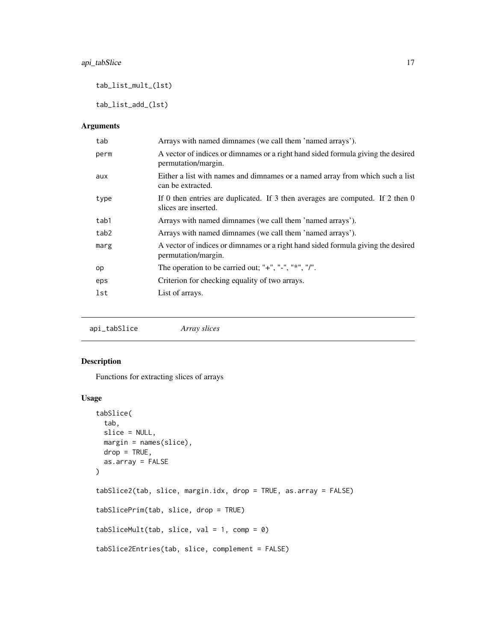<span id="page-16-0"></span>tab\_list\_mult\_(lst)

tab\_list\_add\_(lst)

# Arguments

| tab  | Arrays with named dimnames (we call them 'named arrays').                                               |
|------|---------------------------------------------------------------------------------------------------------|
| perm | A vector of indices or dimnames or a right hand sided formula giving the desired<br>permutation/margin. |
| aux  | Either a list with names and dimnames or a named array from which such a list<br>can be extracted.      |
| type | If 0 then entries are duplicated. If 3 then averages are computed. If 2 then 0<br>slices are inserted.  |
| tab1 | Arrays with named dimnames (we call them 'named arrays').                                               |
| tab2 | Arrays with named dimnames (we call them 'named arrays').                                               |
| marg | A vector of indices or dimnames or a right hand sided formula giving the desired<br>permutation/margin. |
| op   | The operation to be carried out; "+", "-", "*", "/".                                                    |
| eps  | Criterion for checking equality of two arrays.                                                          |
| lst  | List of arrays.                                                                                         |

api\_tabSlice *Array slices*

# Description

Functions for extracting slices of arrays

# Usage

```
tabSlice(
  tab,
 slice = NULL,
 margin = names(slice),
 drop = TRUE,as.array = FALSE
)
tabSlice2(tab, slice, margin.idx, drop = TRUE, as.array = FALSE)
tabSlicePrim(tab, slice, drop = TRUE)
tabSliceMult(tab, slice, val = 1, comp = 0)
tabSlice2Entries(tab, slice, complement = FALSE)
```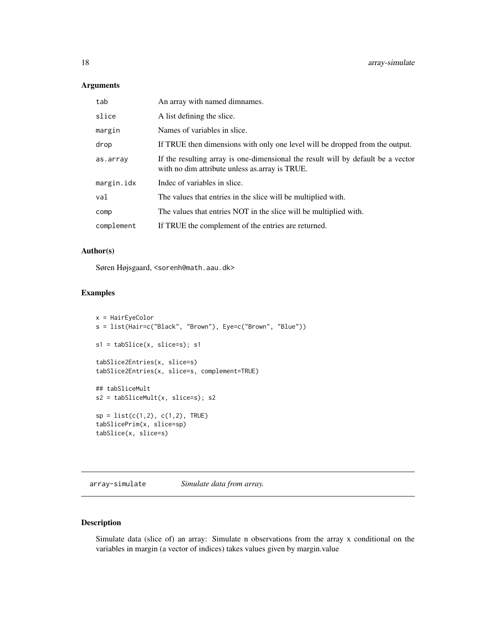# <span id="page-17-0"></span>Arguments

| tab        | An array with named dimnames.                                                                                                      |
|------------|------------------------------------------------------------------------------------------------------------------------------------|
| slice      | A list defining the slice.                                                                                                         |
| margin     | Names of variables in slice.                                                                                                       |
| drop       | If TRUE then dimensions with only one level will be dropped from the output.                                                       |
| as.array   | If the resulting array is one-dimensional the result will by default be a vector<br>with no dim attribute unless as array is TRUE. |
| margin.idx | Indec of variables in slice.                                                                                                       |
| val        | The values that entries in the slice will be multiplied with.                                                                      |
| comp       | The values that entries NOT in the slice will be multiplied with.                                                                  |
| complement | If TRUE the complement of the entries are returned.                                                                                |

# Author(s)

Søren Højsgaard, <sorenh@math.aau.dk>

#### Examples

```
x = HairEyeColor
s = list(Hair=c("Black", "Brown"), Eye=c("Brown", "Blue"))
s1 = tabSlice(x, slice=s); s1
tabSlice2Entries(x, slice=s)
tabSlice2Entries(x, slice=s, complement=TRUE)
## tabSliceMult
s2 = tabSliceMult(x, slice=s); s2
sp = list(c(1,2), c(1,2), TRUE)tabSlicePrim(x, slice=sp)
tabSlice(x, slice=s)
```
array-simulate *Simulate data from array.*

# Description

Simulate data (slice of) an array: Simulate n observations from the array x conditional on the variables in margin (a vector of indices) takes values given by margin.value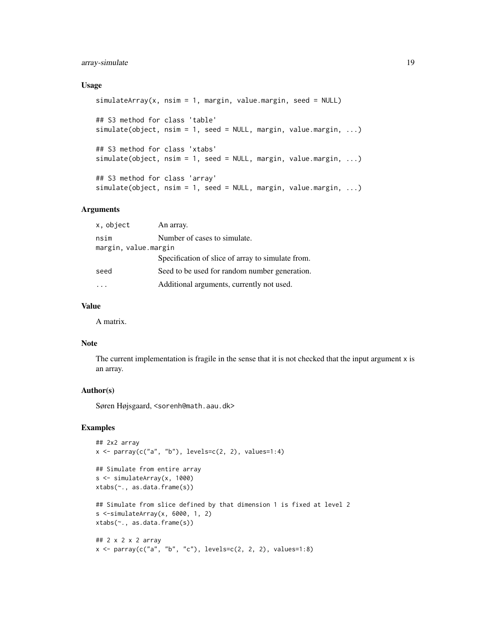# array-simulate 19

#### Usage

```
simulatedrray(x, nsim = 1, margin, value.margin, seed = NULL)## S3 method for class 'table'
simulate(object, nsim = 1, seed = NULL, margin, value.margin, ...)
## S3 method for class 'xtabs'
simulate(object, nsim = 1, seed = NULL, margin, value.margin, ...)
## S3 method for class 'array'
simulate(object, nsim = 1, seed = NULL, margin, value.margin, ...)
```
#### Arguments

| x, object            | An array.                                         |  |
|----------------------|---------------------------------------------------|--|
| nsim                 | Number of cases to simulate.                      |  |
| margin, value.margin |                                                   |  |
|                      | Specification of slice of array to simulate from. |  |
| seed                 | Seed to be used for random number generation.     |  |
|                      | Additional arguments, currently not used.         |  |

#### Value

A matrix.

# Note

The current implementation is fragile in the sense that it is not checked that the input argument x is an array.

# Author(s)

Søren Højsgaard, <sorenh@math.aau.dk>

```
## 2x2 array
x \leq parray(c("a", "b"), levels=c(2, 2), values=1:4)
## Simulate from entire array
s <- simulateArray(x, 1000)
xtabs(~., as.data.frame(s))
## Simulate from slice defined by that dimension 1 is fixed at level 2
s <-simulateArray(x, 6000, 1, 2)
xtabs(~., as.data.frame(s))
## 2 x 2 x 2 array
x \le - parray(c("a", "b", "c"), levels=c(2, 2, 2), values=1:8)
```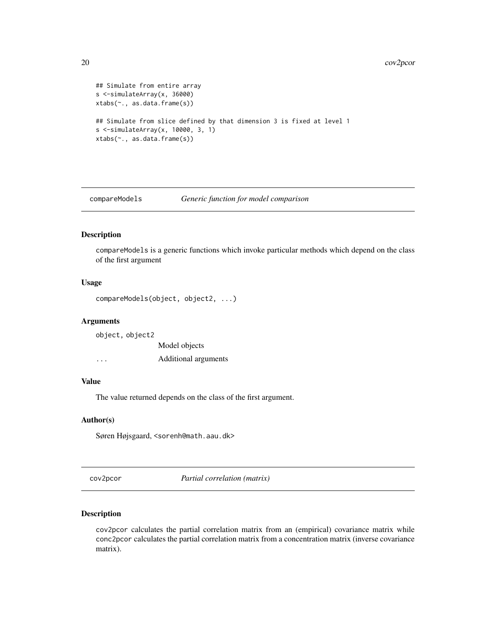#### <span id="page-19-0"></span>20 cov2pcor

```
## Simulate from entire array
s <-simulateArray(x, 36000)
xtabs(~., as.data.frame(s))
## Simulate from slice defined by that dimension 3 is fixed at level 1
s <-simulateArray(x, 10000, 3, 1)
xtabs(~., as.data.frame(s))
```
compareModels *Generic function for model comparison*

# Description

compareModels is a generic functions which invoke particular methods which depend on the class of the first argument

# Usage

```
compareModels(object, object2, ...)
```
# Arguments

object, object2 Model objects ... Additional arguments

# Value

The value returned depends on the class of the first argument.

# Author(s)

Søren Højsgaard, <sorenh@math.aau.dk>

cov2pcor *Partial correlation (matrix)*

# Description

cov2pcor calculates the partial correlation matrix from an (empirical) covariance matrix while conc2pcor calculates the partial correlation matrix from a concentration matrix (inverse covariance matrix).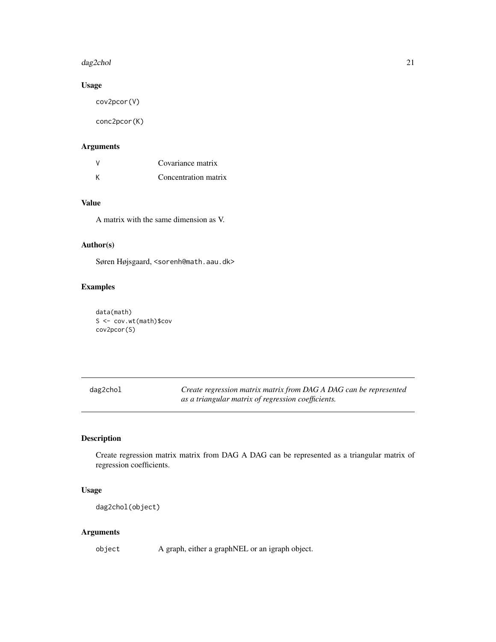#### <span id="page-20-0"></span>dag2chol 21

# Usage

cov2pcor(V)

conc2pcor(K)

# Arguments

| V | Covariance matrix    |
|---|----------------------|
| К | Concentration matrix |

# Value

A matrix with the same dimension as V.

# Author(s)

Søren Højsgaard, <sorenh@math.aau.dk>

# Examples

data(math) S <- cov.wt(math)\$cov cov2pcor(S)

| dag2chol | Create regression matrix matrix from DAG A DAG can be represented |
|----------|-------------------------------------------------------------------|
|          | as a triangular matrix of regression coefficients.                |

# Description

Create regression matrix matrix from DAG A DAG can be represented as a triangular matrix of regression coefficients.

# Usage

dag2chol(object)

# Arguments

object A graph, either a graphNEL or an igraph object.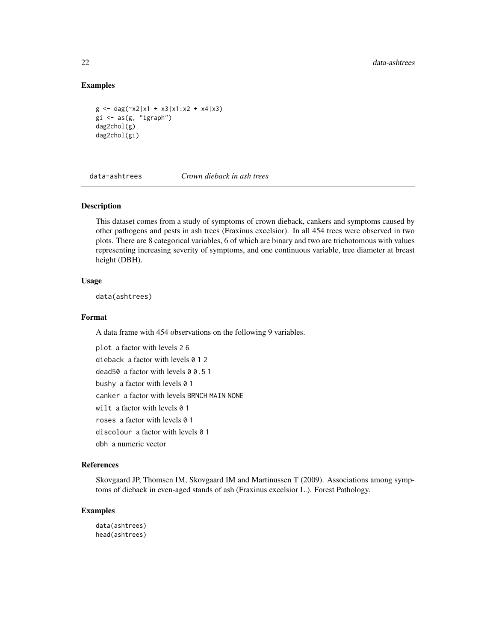# Examples

```
g \leftarrow \text{dag}(\neg x2|x1 + x3|x1:x2 + x4|x3)gi \leftarrow as(g, "igraph")dag2chol(g)
dag2chol(gi)
```
data-ashtrees *Crown dieback in ash trees*

# Description

This dataset comes from a study of symptoms of crown dieback, cankers and symptoms caused by other pathogens and pests in ash trees (Fraxinus excelsior). In all 454 trees were observed in two plots. There are 8 categorical variables, 6 of which are binary and two are trichotomous with values representing increasing severity of symptoms, and one continuous variable, tree diameter at breast height (DBH).

# Usage

data(ashtrees)

#### Format

A data frame with 454 observations on the following 9 variables.

plot a factor with levels 2 6 dieback a factor with levels 0 1 2 dead50 a factor with levels 0 0.5 1 bushy a factor with levels 0 1 canker a factor with levels BRNCH MAIN NONE wilt a factor with levels 0 1 roses a factor with levels 0 1 discolour a factor with levels 0 1 dbh a numeric vector

# References

Skovgaard JP, Thomsen IM, Skovgaard IM and Martinussen T (2009). Associations among symptoms of dieback in even-aged stands of ash (Fraxinus excelsior L.). Forest Pathology.

# Examples

data(ashtrees) head(ashtrees)

<span id="page-21-0"></span>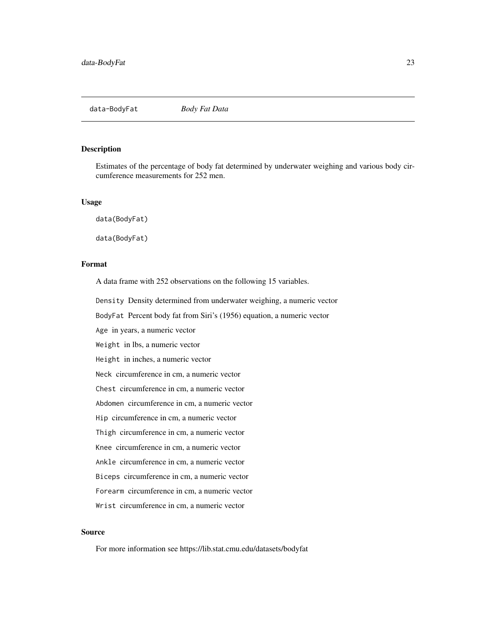<span id="page-22-0"></span>

#### Description

Estimates of the percentage of body fat determined by underwater weighing and various body circumference measurements for 252 men.

#### Usage

data(BodyFat)

data(BodyFat)

# Format

A data frame with 252 observations on the following 15 variables.

Density Density determined from underwater weighing, a numeric vector

BodyFat Percent body fat from Siri's (1956) equation, a numeric vector

Age in years, a numeric vector

Weight in lbs, a numeric vector

Height in inches, a numeric vector

Neck circumference in cm, a numeric vector

Chest circumference in cm, a numeric vector

Abdomen circumference in cm, a numeric vector

Hip circumference in cm, a numeric vector

Thigh circumference in cm, a numeric vector

Knee circumference in cm, a numeric vector

Ankle circumference in cm, a numeric vector

Biceps circumference in cm, a numeric vector

Forearm circumference in cm, a numeric vector

Wrist circumference in cm, a numeric vector

# Source

For more information see https://lib.stat.cmu.edu/datasets/bodyfat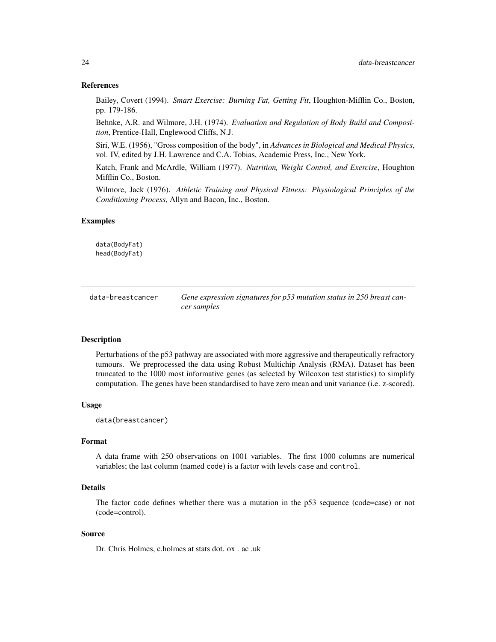#### <span id="page-23-0"></span>References

Bailey, Covert (1994). *Smart Exercise: Burning Fat, Getting Fit*, Houghton-Mifflin Co., Boston, pp. 179-186.

Behnke, A.R. and Wilmore, J.H. (1974). *Evaluation and Regulation of Body Build and Composition*, Prentice-Hall, Englewood Cliffs, N.J.

Siri, W.E. (1956), "Gross composition of the body", in *Advances in Biological and Medical Physics*, vol. IV, edited by J.H. Lawrence and C.A. Tobias, Academic Press, Inc., New York.

Katch, Frank and McArdle, William (1977). *Nutrition, Weight Control, and Exercise*, Houghton Mifflin Co., Boston.

Wilmore, Jack (1976). *Athletic Training and Physical Fitness: Physiological Principles of the Conditioning Process*, Allyn and Bacon, Inc., Boston.

#### Examples

data(BodyFat) head(BodyFat)

| data-breastcancer | Gene expression signatures for p53 mutation status in 250 breast can- |
|-------------------|-----------------------------------------------------------------------|
|                   | cer samples                                                           |

#### Description

Perturbations of the p53 pathway are associated with more aggressive and therapeutically refractory tumours. We preprocessed the data using Robust Multichip Analysis (RMA). Dataset has been truncated to the 1000 most informative genes (as selected by Wilcoxon test statistics) to simplify computation. The genes have been standardised to have zero mean and unit variance (i.e. z-scored).

#### Usage

data(breastcancer)

# Format

A data frame with 250 observations on 1001 variables. The first 1000 columns are numerical variables; the last column (named code) is a factor with levels case and control.

#### Details

The factor code defines whether there was a mutation in the p53 sequence (code=case) or not (code=control).

#### Source

Dr. Chris Holmes, c.holmes at stats dot. ox . ac .uk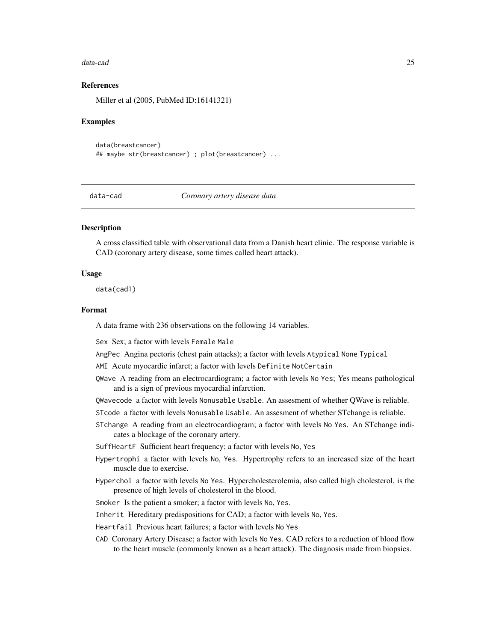#### <span id="page-24-0"></span>data-cad 25

# References

Miller et al (2005, PubMed ID:16141321)

#### Examples

```
data(breastcancer)
## maybe str(breastcancer) ; plot(breastcancer) ...
```
data-cad *Coronary artery disease data*

# Description

A cross classified table with observational data from a Danish heart clinic. The response variable is CAD (coronary artery disease, some times called heart attack).

#### Usage

data(cad1)

#### Format

A data frame with 236 observations on the following 14 variables.

Sex Sex; a factor with levels Female Male

AngPec Angina pectoris (chest pain attacks); a factor with levels Atypical None Typical

AMI Acute myocardic infarct; a factor with levels Definite NotCertain

- QWave A reading from an electrocardiogram; a factor with levels No Yes; Yes means pathological and is a sign of previous myocardial infarction.
- QWavecode a factor with levels Nonusable Usable. An assesment of whether QWave is reliable.

STcode a factor with levels Nonusable Usable. An assesment of whether STchange is reliable.

STchange A reading from an electrocardiogram; a factor with levels No Yes. An STchange indicates a blockage of the coronary artery.

SuffHeartF Sufficient heart frequency; a factor with levels No, Yes

- Hypertrophi a factor with levels No, Yes. Hypertrophy refers to an increased size of the heart muscle due to exercise.
- Hyperchol a factor with levels No Yes. Hypercholesterolemia, also called high cholesterol, is the presence of high levels of cholesterol in the blood.
- Smoker Is the patient a smoker; a factor with levels No, Yes.

Inherit Hereditary predispositions for CAD; a factor with levels No, Yes.

- Heartfail Previous heart failures; a factor with levels No Yes
- CAD Coronary Artery Disease; a factor with levels No Yes. CAD refers to a reduction of blood flow to the heart muscle (commonly known as a heart attack). The diagnosis made from biopsies.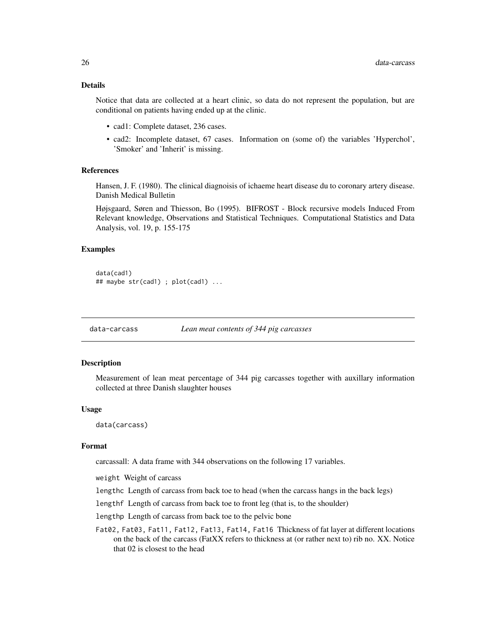# <span id="page-25-0"></span>Details

Notice that data are collected at a heart clinic, so data do not represent the population, but are conditional on patients having ended up at the clinic.

- cad1: Complete dataset, 236 cases.
- cad2: Incomplete dataset, 67 cases. Information on (some of) the variables 'Hyperchol', 'Smoker' and 'Inherit' is missing.

#### References

Hansen, J. F. (1980). The clinical diagnoisis of ichaeme heart disease du to coronary artery disease. Danish Medical Bulletin

Højsgaard, Søren and Thiesson, Bo (1995). BIFROST - Block recursive models Induced From Relevant knowledge, Observations and Statistical Techniques. Computational Statistics and Data Analysis, vol. 19, p. 155-175

## Examples

```
data(cad1)
## maybe str(cad1) ; plot(cad1) ...
```
data-carcass *Lean meat contents of 344 pig carcasses*

#### Description

Measurement of lean meat percentage of 344 pig carcasses together with auxillary information collected at three Danish slaughter houses

#### Usage

data(carcass)

# Format

carcassall: A data frame with 344 observations on the following 17 variables.

weight Weight of carcass

lengthc Length of carcass from back toe to head (when the carcass hangs in the back legs)

lengthf Length of carcass from back toe to front leg (that is, to the shoulder)

lengthp Length of carcass from back toe to the pelvic bone

Fat02, Fat03, Fat11, Fat12, Fat13, Fat14, Fat16 Thickness of fat layer at different locations on the back of the carcass (FatXX refers to thickness at (or rather next to) rib no. XX. Notice that 02 is closest to the head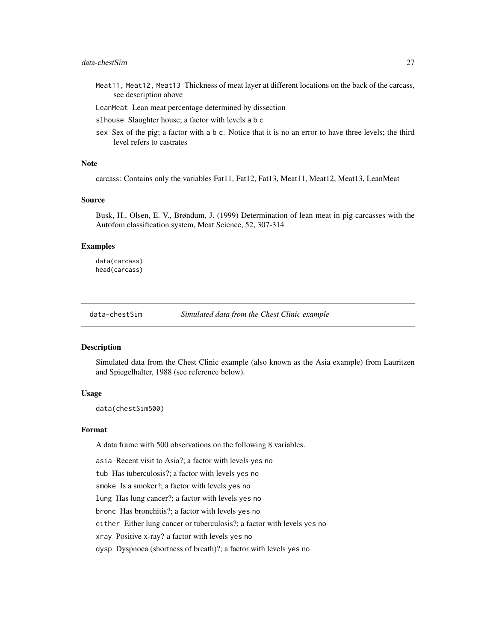# <span id="page-26-0"></span>data-chestSim 27

- Meat11, Meat12, Meat13 Thickness of meat layer at different locations on the back of the carcass, see description above
- LeanMeat Lean meat percentage determined by dissection
- slhouse Slaughter house; a factor with levels a b c
- sex Sex of the pig; a factor with a b c. Notice that it is no an error to have three levels; the third level refers to castrates

#### **Note**

carcass: Contains only the variables Fat11, Fat12, Fat13, Meat11, Meat12, Meat13, LeanMeat

# Source

Busk, H., Olsen, E. V., Brøndum, J. (1999) Determination of lean meat in pig carcasses with the Autofom classification system, Meat Science, 52, 307-314

#### Examples

data(carcass) head(carcass)

data-chestSim *Simulated data from the Chest Clinic example*

#### Description

Simulated data from the Chest Clinic example (also known as the Asia example) from Lauritzen and Spiegelhalter, 1988 (see reference below).

#### Usage

data(chestSim500)

#### Format

A data frame with 500 observations on the following 8 variables.

asia Recent visit to Asia?; a factor with levels yes no

tub Has tuberculosis?; a factor with levels yes no

smoke Is a smoker?; a factor with levels yes no

lung Has lung cancer?; a factor with levels yes no

bronc Has bronchitis?; a factor with levels yes no

either Either lung cancer or tuberculosis?; a factor with levels yes no

xray Positive x-ray? a factor with levels yes no

dysp Dyspnoea (shortness of breath)?; a factor with levels yes no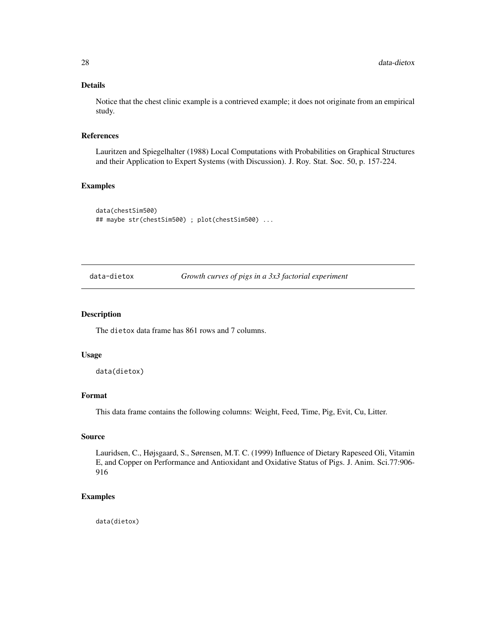# Details

Notice that the chest clinic example is a contrieved example; it does not originate from an empirical study.

# References

Lauritzen and Spiegelhalter (1988) Local Computations with Probabilities on Graphical Structures and their Application to Expert Systems (with Discussion). J. Roy. Stat. Soc. 50, p. 157-224.

# Examples

```
data(chestSim500)
## maybe str(chestSim500) ; plot(chestSim500) ...
```
data-dietox *Growth curves of pigs in a 3x3 factorial experiment*

# Description

The dietox data frame has 861 rows and 7 columns.

#### Usage

data(dietox)

#### Format

This data frame contains the following columns: Weight, Feed, Time, Pig, Evit, Cu, Litter.

#### Source

Lauridsen, C., Højsgaard, S., Sørensen, M.T. C. (1999) Influence of Dietary Rapeseed Oli, Vitamin E, and Copper on Performance and Antioxidant and Oxidative Status of Pigs. J. Anim. Sci.77:906- 916

#### Examples

data(dietox)

<span id="page-27-0"></span>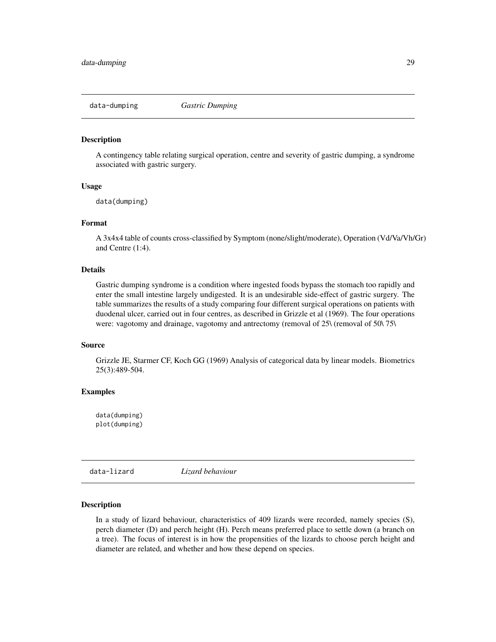<span id="page-28-0"></span>

#### Description

A contingency table relating surgical operation, centre and severity of gastric dumping, a syndrome associated with gastric surgery.

# Usage

data(dumping)

# Format

A 3x4x4 table of counts cross-classified by Symptom (none/slight/moderate), Operation (Vd/Va/Vh/Gr) and Centre (1:4).

#### Details

Gastric dumping syndrome is a condition where ingested foods bypass the stomach too rapidly and enter the small intestine largely undigested. It is an undesirable side-effect of gastric surgery. The table summarizes the results of a study comparing four different surgical operations on patients with duodenal ulcer, carried out in four centres, as described in Grizzle et al (1969). The four operations were: vagotomy and drainage, vagotomy and antrectomy (removal of 25\ (removal of 50\ 75\)

#### Source

Grizzle JE, Starmer CF, Koch GG (1969) Analysis of categorical data by linear models. Biometrics 25(3):489-504.

# Examples

data(dumping) plot(dumping)

data-lizard *Lizard behaviour*

#### Description

In a study of lizard behaviour, characteristics of 409 lizards were recorded, namely species (S), perch diameter (D) and perch height (H). Perch means preferred place to settle down (a branch on a tree). The focus of interest is in how the propensities of the lizards to choose perch height and diameter are related, and whether and how these depend on species.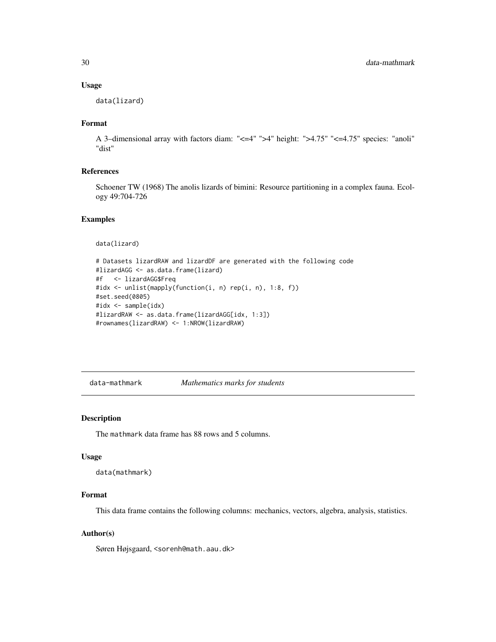#### Usage

data(lizard)

# Format

A 3–dimensional array with factors diam: "<=4" ">4" height: ">4.75" "<=4.75" species: "anoli" "dist"

#### References

Schoener TW (1968) The anolis lizards of bimini: Resource partitioning in a complex fauna. Ecology 49:704-726

# Examples

```
data(lizard)
```

```
# Datasets lizardRAW and lizardDF are generated with the following code
#lizardAGG <- as.data.frame(lizard)
#f <- lizardAGG$Freq
#idx <- unlist(mapply(function(i, n) rep(i, n), 1:8, f))
#set.seed(0805)
#idx <- sample(idx)
#lizardRAW <- as.data.frame(lizardAGG[idx, 1:3])
#rownames(lizardRAW) <- 1:NROW(lizardRAW)
```
data-mathmark *Mathematics marks for students*

# Description

The mathmark data frame has 88 rows and 5 columns.

#### Usage

```
data(mathmark)
```
# Format

This data frame contains the following columns: mechanics, vectors, algebra, analysis, statistics.

#### Author(s)

Søren Højsgaard, <sorenh@math.aau.dk>

<span id="page-29-0"></span>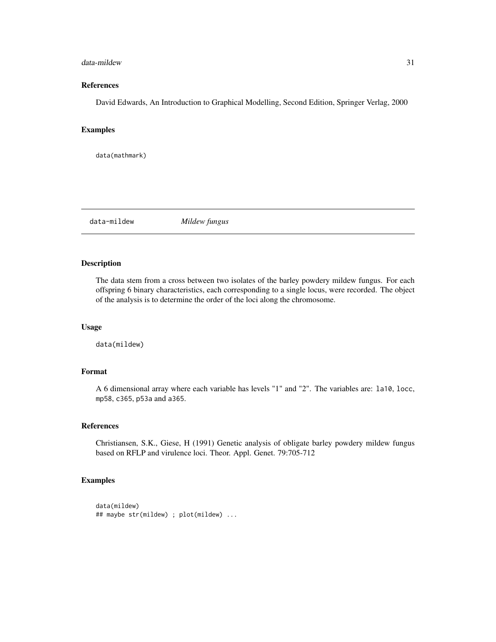#### <span id="page-30-0"></span>data-mildew 31

# References

David Edwards, An Introduction to Graphical Modelling, Second Edition, Springer Verlag, 2000

# Examples

data(mathmark)

data-mildew *Mildew fungus*

# Description

The data stem from a cross between two isolates of the barley powdery mildew fungus. For each offspring 6 binary characteristics, each corresponding to a single locus, were recorded. The object of the analysis is to determine the order of the loci along the chromosome.

#### Usage

data(mildew)

#### Format

A 6 dimensional array where each variable has levels "1" and "2". The variables are: la10, locc, mp58, c365, p53a and a365.

#### References

Christiansen, S.K., Giese, H (1991) Genetic analysis of obligate barley powdery mildew fungus based on RFLP and virulence loci. Theor. Appl. Genet. 79:705-712

```
data(mildew)
## maybe str(mildew) ; plot(mildew) ...
```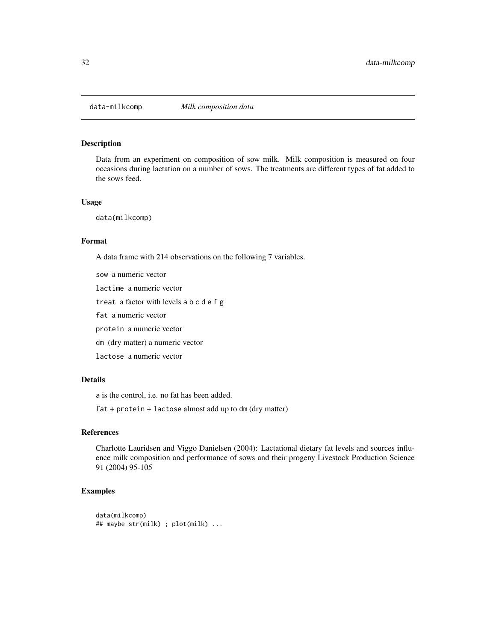<span id="page-31-0"></span>

# Description

Data from an experiment on composition of sow milk. Milk composition is measured on four occasions during lactation on a number of sows. The treatments are different types of fat added to the sows feed.

#### Usage

data(milkcomp)

#### Format

A data frame with 214 observations on the following 7 variables.

sow a numeric vector lactime a numeric vector treat a factor with levels a b c d e f g fat a numeric vector protein a numeric vector dm (dry matter) a numeric vector lactose a numeric vector

# Details

a is the control, i.e. no fat has been added.

fat + protein + lactose almost add up to dm (dry matter)

# References

Charlotte Lauridsen and Viggo Danielsen (2004): Lactational dietary fat levels and sources influence milk composition and performance of sows and their progeny Livestock Production Science 91 (2004) 95-105

```
data(milkcomp)
## maybe str(milk) ; plot(milk) ...
```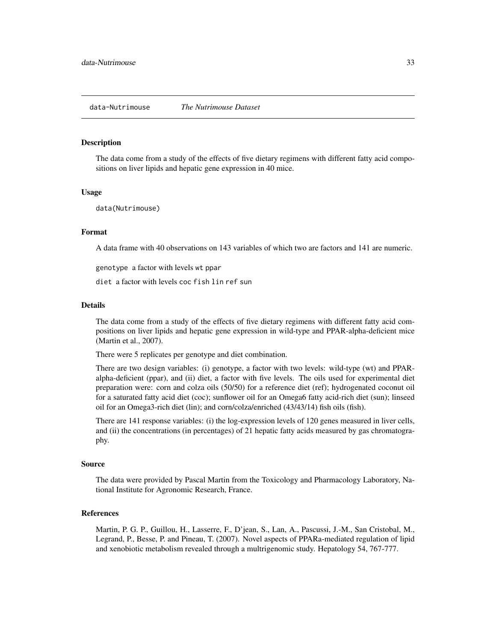#### <span id="page-32-0"></span>**Description**

The data come from a study of the effects of five dietary regimens with different fatty acid compositions on liver lipids and hepatic gene expression in 40 mice.

#### Usage

data(Nutrimouse)

# Format

A data frame with 40 observations on 143 variables of which two are factors and 141 are numeric.

genotype a factor with levels wt ppar

diet a factor with levels coc fish lin ref sun

#### Details

The data come from a study of the effects of five dietary regimens with different fatty acid compositions on liver lipids and hepatic gene expression in wild-type and PPAR-alpha-deficient mice (Martin et al., 2007).

There were 5 replicates per genotype and diet combination.

There are two design variables: (i) genotype, a factor with two levels: wild-type (wt) and PPARalpha-deficient (ppar), and (ii) diet, a factor with five levels. The oils used for experimental diet preparation were: corn and colza oils (50/50) for a reference diet (ref); hydrogenated coconut oil for a saturated fatty acid diet (coc); sunflower oil for an Omega6 fatty acid-rich diet (sun); linseed oil for an Omega3-rich diet (lin); and corn/colza/enriched (43/43/14) fish oils (fish).

There are 141 response variables: (i) the log-expression levels of 120 genes measured in liver cells, and (ii) the concentrations (in percentages) of 21 hepatic fatty acids measured by gas chromatography.

#### Source

The data were provided by Pascal Martin from the Toxicology and Pharmacology Laboratory, National Institute for Agronomic Research, France.

#### References

Martin, P. G. P., Guillou, H., Lasserre, F., D'jean, S., Lan, A., Pascussi, J.-M., San Cristobal, M., Legrand, P., Besse, P. and Pineau, T. (2007). Novel aspects of PPARa-mediated regulation of lipid and xenobiotic metabolism revealed through a multrigenomic study. Hepatology 54, 767-777.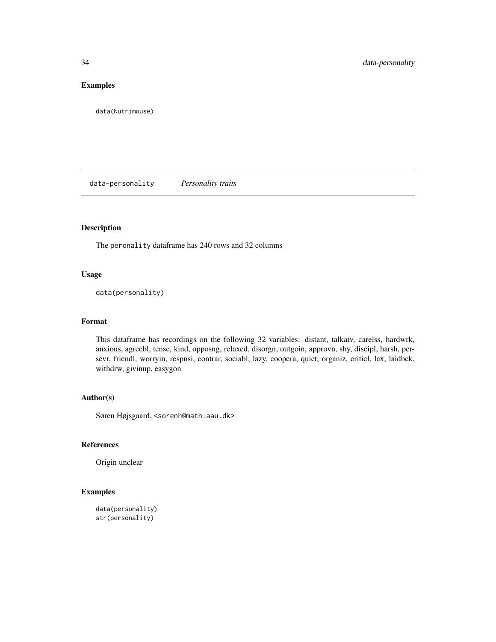# <span id="page-33-0"></span>Examples

data(Nutrimouse)

data-personality *Personality traits*

# Description

The peronality dataframe has 240 rows and 32 columns

### Usage

data(personality)

#### Format

This dataframe has recordings on the following 32 variables: distant, talkatv, carelss, hardwrk, anxious, agreebl, tense, kind, opposng, relaxed, disorgn, outgoin, approvn, shy, discipl, harsh, persevr, friendl, worryin, respnsi, contrar, sociabl, lazy, coopera, quiet, organiz, criticl, lax, laidbck, withdrw, givinup, easygon

# Author(s)

Søren Højsgaard, <sorenh@math.aau.dk>

#### References

Origin unclear

```
data(personality)
str(personality)
```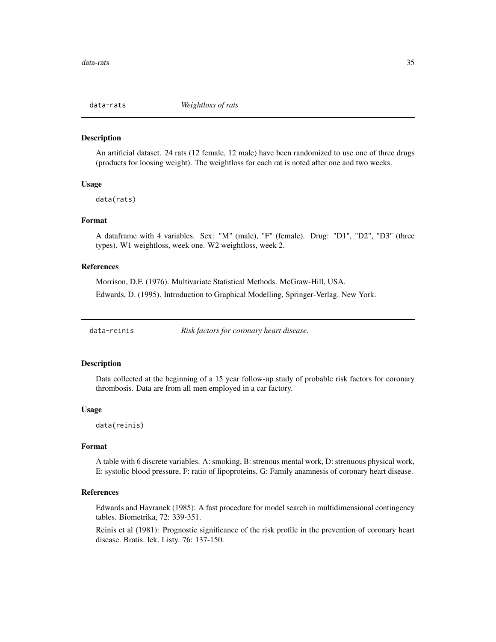<span id="page-34-0"></span>

# Description

An artificial dataset. 24 rats (12 female, 12 male) have been randomized to use one of three drugs (products for loosing weight). The weightloss for each rat is noted after one and two weeks.

#### Usage

data(rats)

# Format

A dataframe with 4 variables. Sex: "M" (male), "F" (female). Drug: "D1", "D2", "D3" (three types). W1 weightloss, week one. W2 weightloss, week 2.

# References

Morrison, D.F. (1976). Multivariate Statistical Methods. McGraw-Hill, USA. Edwards, D. (1995). Introduction to Graphical Modelling, Springer-Verlag. New York.

data-reinis *Risk factors for coronary heart disease.*

#### Description

Data collected at the beginning of a 15 year follow-up study of probable risk factors for coronary thrombosis. Data are from all men employed in a car factory.

#### Usage

data(reinis)

#### Format

A table with 6 discrete variables. A: smoking, B: strenous mental work, D: strenuous physical work, E: systolic blood pressure, F: ratio of lipoproteins, G: Family anamnesis of coronary heart disease.

#### References

Edwards and Havranek (1985): A fast procedure for model search in multidimensional contingency tables. Biometrika, 72: 339-351.

Reinis et al (1981): Prognostic significance of the risk profile in the prevention of coronary heart disease. Bratis. lek. Listy. 76: 137-150.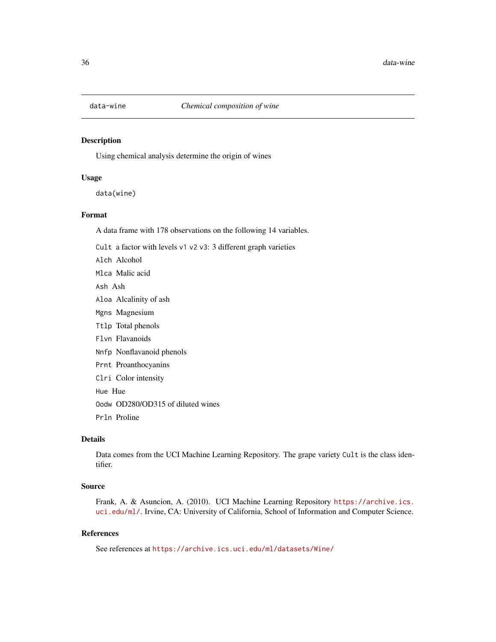<span id="page-35-0"></span>

#### Description

Using chemical analysis determine the origin of wines

# Usage

data(wine)

### Format

A data frame with 178 observations on the following 14 variables.

Cult a factor with levels v1 v2 v3: 3 different graph varieties

Alch Alcohol

Mlca Malic acid

Ash Ash

- Aloa Alcalinity of ash
- Mgns Magnesium
- Ttlp Total phenols
- Flvn Flavanoids
- Nnfp Nonflavanoid phenols
- Prnt Proanthocyanins
- Clri Color intensity
- Hue Hue
- Oodw OD280/OD315 of diluted wines
- Prln Proline

# Details

Data comes from the UCI Machine Learning Repository. The grape variety Cult is the class identifier.

# Source

Frank, A. & Asuncion, A. (2010). UCI Machine Learning Repository [https://archive.ics.](https://archive.ics.uci.edu/ml/) [uci.edu/ml/](https://archive.ics.uci.edu/ml/). Irvine, CA: University of California, School of Information and Computer Science.

# References

See references at <https://archive.ics.uci.edu/ml/datasets/Wine/>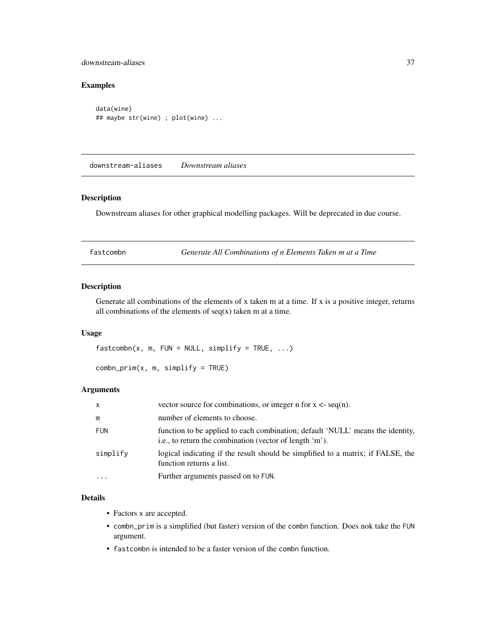## downstream-aliases 37

# Examples

data(wine) ## maybe str(wine) ; plot(wine) ...

downstream-aliases *Downstream aliases*

## Description

Downstream aliases for other graphical modelling packages. Will be deprecated in due course.

fastcombn *Generate All Combinations of n Elements Taken m at a Time*

# Description

Generate all combinations of the elements of x taken m at a time. If x is a positive integer, returns all combinations of the elements of  $seq(x)$  taken m at a time.

## Usage

 $fastcombn(x, m, FUN = NULL, simplify = TRUE, ...)$ 

 $combn\_prim(x, m, simplify = TRUE)$ 

# Arguments

| x          | vector source for combinations, or integer n for $x <$ - seq(n).                                                                          |
|------------|-------------------------------------------------------------------------------------------------------------------------------------------|
| m          | number of elements to choose.                                                                                                             |
| <b>FUN</b> | function to be applied to each combination; default 'NULL' means the identity,<br>i.e., to return the combination (vector of length 'm'). |
| simplify   | logical indicating if the result should be simplified to a matrix; if FALSE, the<br>function returns a list.                              |
| $\ddotsc$  | Further arguments passed on to FUN.                                                                                                       |

## Details

- Factors x are accepted.
- combn\_prim is a simplified (but faster) version of the combn function. Does nok take the FUN argument.
- fastcombn is intended to be a faster version of the combn function.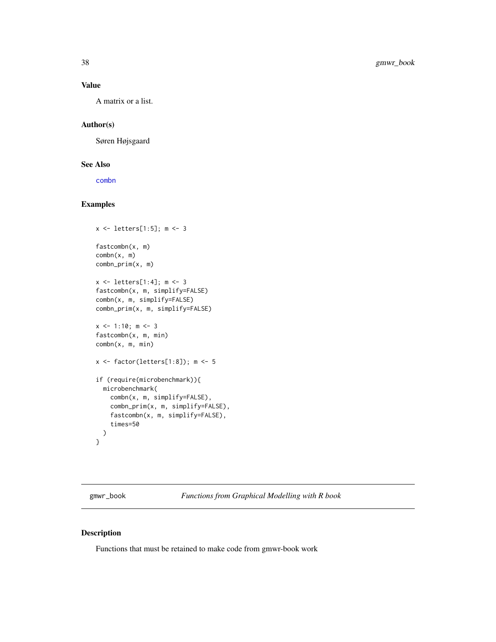# Value

A matrix or a list.

# Author(s)

Søren Højsgaard

# See Also

[combn](#page-0-0)

# Examples

```
x <- letters[1:5]; m <- 3
fastcombn(x, m)
combn(x, m)
combn_prim(x, m)
x <- letters[1:4]; m <- 3
fastcombn(x, m, simplify=FALSE)
combn(x, m, simplify=FALSE)
combn_prim(x, m, simplify=FALSE)
x \le -1:10; m \le -3fastcombn(x, m, min)
combn(x, m, min)
x <- factor(letters[1:8]); m <- 5
if (require(microbenchmark)){
  microbenchmark(
    combn(x, m, simplify=FALSE),
    combn_prim(x, m, simplify=FALSE),
    fastcombn(x, m, simplify=FALSE),
    times=50
  )
}
```
gmwr\_book *Functions from Graphical Modelling with R book*

## Description

Functions that must be retained to make code from gmwr-book work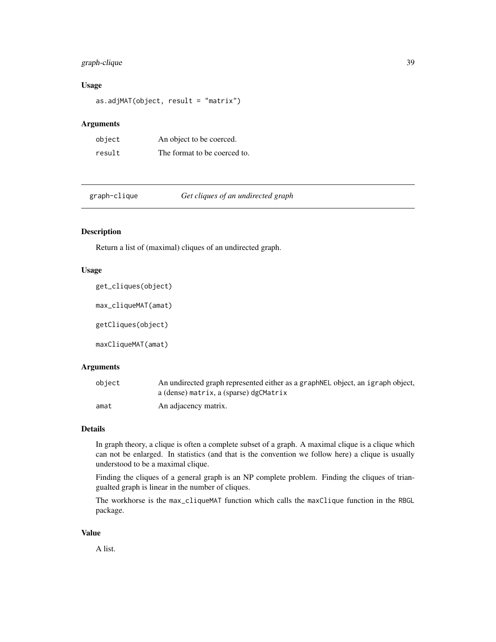# graph-clique 39

# Usage

as.adjMAT(object, result = "matrix")

## Arguments

| object | An object to be coerced.     |
|--------|------------------------------|
| result | The format to be coerced to. |

graph-clique *Get cliques of an undirected graph*

# Description

Return a list of (maximal) cliques of an undirected graph.

## Usage

get\_cliques(object) max\_cliqueMAT(amat)

getCliques(object)

maxCliqueMAT(amat)

## Arguments

| object | An undirected graph represented either as a graph NEL object, an igraph object, |
|--------|---------------------------------------------------------------------------------|
|        | a (dense) matrix, a (sparse) dgCMatrix                                          |
| amat   | An adjacency matrix.                                                            |

# Details

In graph theory, a clique is often a complete subset of a graph. A maximal clique is a clique which can not be enlarged. In statistics (and that is the convention we follow here) a clique is usually understood to be a maximal clique.

Finding the cliques of a general graph is an NP complete problem. Finding the cliques of triangualted graph is linear in the number of cliques.

The workhorse is the max\_cliqueMAT function which calls the maxClique function in the RBGL package.

#### Value

A list.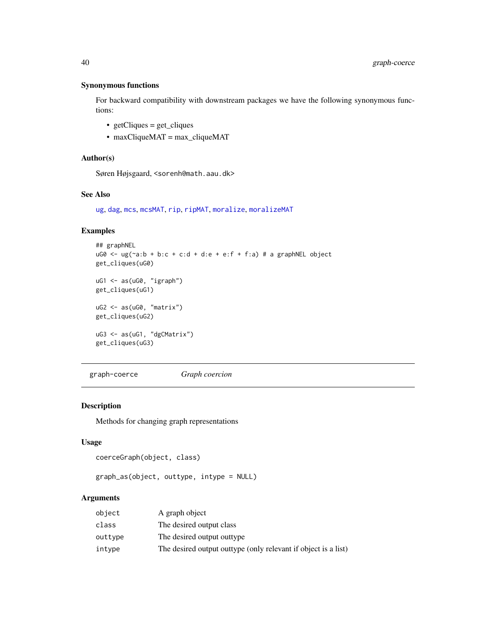# Synonymous functions

For backward compatibility with downstream packages we have the following synonymous functions:

- getCliques = get\_cliques
- maxCliqueMAT = max\_cliqueMAT

## Author(s)

Søren Højsgaard, <sorenh@math.aau.dk>

# See Also

[ug](#page-43-0), [dag](#page-43-0), [mcs](#page-51-0), [mcsMAT](#page-51-0), [rip](#page-59-0), [ripMAT](#page-59-0), [moralize](#page-54-0), [moralizeMAT](#page-54-0)

### Examples

```
## graphNEL
uGØ \leq ug(\sim a:b + b:c + c:d + d:e + e:f + f:a) # a graphNEL object
get_cliques(uG0)
uG1 <- as(uG0, "igraph")
get_cliques(uG1)
uG2 <- as(uG0, "matrix")
get_cliques(uG2)
uG3 <- as(uG1, "dgCMatrix")
get_cliques(uG3)
```
graph-coerce *Graph coercion*

# Description

Methods for changing graph representations

#### Usage

```
coerceGraph(object, class)
```

```
graph_as(object, outtype, intype = NULL)
```
## Arguments

| object  | A graph object                                                 |
|---------|----------------------------------------------------------------|
| class   | The desired output class                                       |
| outtype | The desired output outtype                                     |
| intype  | The desired output outtype (only relevant if object is a list) |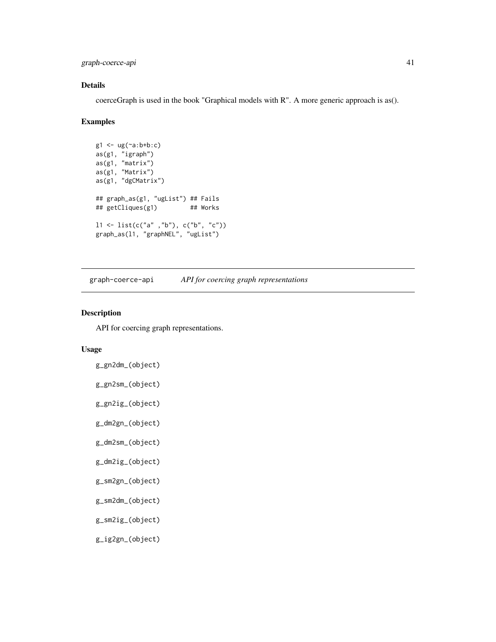graph-coerce-api 41

# Details

coerceGraph is used in the book "Graphical models with R". A more generic approach is as().

#### Examples

```
g1 <- ug(~a:b+b:c)
as(g1, "igraph")
as(g1, "matrix")
as(g1, "Matrix")
as(g1, "dgCMatrix")
## graph_as(g1, "ugList") ## Fails
## getCliques(g1) ## Works
11 \leftarrow list(c("a" ', "b"), c("b", "c")graph_as(l1, "graphNEL", "ugList")
```
graph-coerce-api *API for coercing graph representations*

# Description

API for coercing graph representations.

# Usage

```
g_gn2dm_(object)
```

```
g_gn2sm_(object)
```
g\_gn2ig\_(object)

g\_dm2gn\_(object)

```
g_dm2sm_(object)
```

```
g_dm2ig_(object)
```

```
g_sm2gn_(object)
```
g\_sm2dm\_(object)

g\_sm2ig\_(object)

g\_ig2gn\_(object)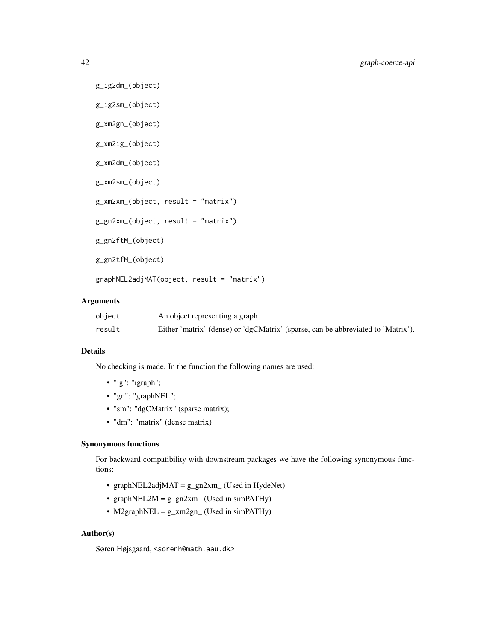```
g_ig2dm_(object)
g_ig2sm_(object)
g_xm2gn_(object)
g_xm2ig_(object)
g_xm2dm_(object)
g_xm2sm_(object)
g_xm2xm_(object, result = "matrix")
g_gn2xm_(object, result = "matrix")
g_gn2ftM_(object)
g_gn2tfM_(object)
graphNEL2adjMAT(object, result = "matrix")
```
## Arguments

| object | An object representing a graph                                                   |
|--------|----------------------------------------------------------------------------------|
| result | Either 'matrix' (dense) or 'dgCMatrix' (sparse, can be abbreviated to 'Matrix'). |

#### Details

No checking is made. In the function the following names are used:

- "ig": "igraph";
- "gn": "graphNEL";
- "sm": "dgCMatrix" (sparse matrix);
- "dm": "matrix" (dense matrix)

#### Synonymous functions

For backward compatibility with downstream packages we have the following synonymous functions:

- graphNEL2adjMAT = g\_gn2xm\_ (Used in HydeNet)
- graphNEL2M =  $g_{gn}$ 2xm\_ (Used in simPATHy)
- M2graphNEL =  $g_{xx}$ m2gn\_ (Used in simPATHy)

# Author(s)

Søren Højsgaard, <sorenh@math.aau.dk>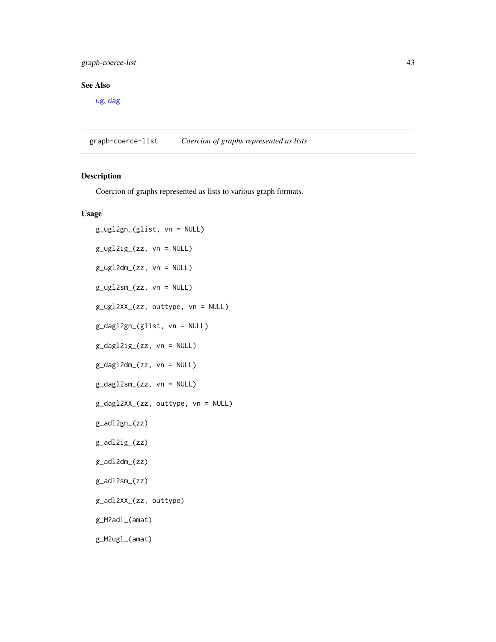# graph-coerce-list 43

# See Also

[ug](#page-43-0), [dag](#page-43-0)

graph-coerce-list *Coercion of graphs represented as lists*

# Description

Coercion of graphs represented as lists to various graph formats.

# Usage

```
g_ugl2gn_(glist, vn = NULL)
g_ugl2ig_(zz, vn = NULL)
g_ugl2dm_(zz, vn = NULL)
g_ugl2sm_(zz, vn = NULL)
g_ugl2XX_(zz, outtype, vn = NULL)
g_dagl2gn_(glist, vn = NULL)
g_dagl2ig_(zz, vn = NULL)
g_dagl2dm_(zz, vn = NULL)
g_dagl2sm_(zz, vn = NULL)
g_dagl2XX_(zz, outtype, vn = NULL)
g_adl2gn_(zz)
g_adl2ig_(zz)
g_adl2dm_(zz)
g_adl2sm_(zz)
g_adl2XX_(zz, outtype)
g_M2adl_(amat)
g_M2ugl_(amat)
```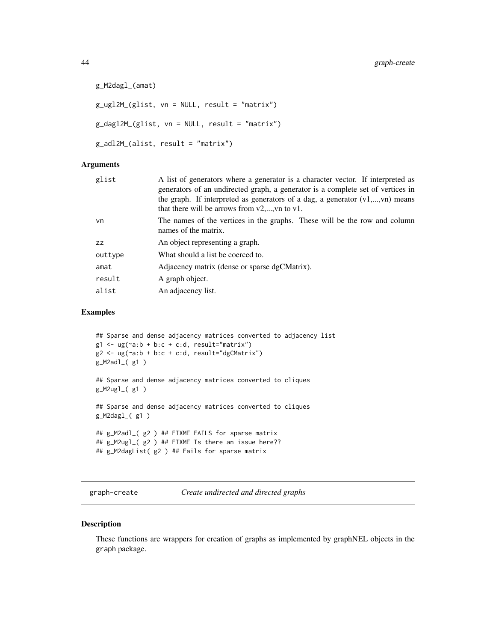```
g_M2dagl_(amat)
g_{ug}12M_{g}12M_{g} = NULL, result = "matrix")
g_dagl2M_(glist, vn = NULL, result = "matrix")
g_adl2M_(alist, result = "matrix")
```
#### Arguments

| glist   | A list of generators where a generator is a character vector. If interpreted as<br>generators of an undirected graph, a generator is a complete set of vertices in<br>the graph. If interpreted as generators of a dag, a generator $(v1,,vn)$ means<br>that there will be arrows from $v2$ ,, vn to v1. |
|---------|----------------------------------------------------------------------------------------------------------------------------------------------------------------------------------------------------------------------------------------------------------------------------------------------------------|
| vn      | The names of the vertices in the graphs. These will be the row and column<br>names of the matrix.                                                                                                                                                                                                        |
| ZZ      | An object representing a graph.                                                                                                                                                                                                                                                                          |
| outtype | What should a list be coerced to.                                                                                                                                                                                                                                                                        |
| amat    | Adjacency matrix (dense or sparse dgCMatrix).                                                                                                                                                                                                                                                            |
| result  | A graph object.                                                                                                                                                                                                                                                                                          |
| alist   | An adjacency list.                                                                                                                                                                                                                                                                                       |
|         |                                                                                                                                                                                                                                                                                                          |

# Examples

```
## Sparse and dense adjacency matrices converted to adjacency list
g1 \leq -\frac{ug(\alpha a:b + b:c + c:d, result='matrix")}{g1 \leq -\frac{1}{g(1)}}g2 \leq -\frac{ug(\alpha a:b + b:c + c:d, result='dgCMatrix")}{g2 \cdot -\frac{dg(\alpha a.b + b:c + c:d, result='dgCMatrix))}{g2 \cdot -\frac{dg(\alpha a.b + b:c + c:d, result='dgCMatrix))}{g2 \cdot -\frac{dg(\alpha a.b + b:c + c:d, result='dgCMatrix))}{g2 \cdot -\frac{dg(\alpha a.b + c.d, result='dgCMatrix))}{g2 \cdot -\frac{dg(\alpha a.b + c.d, result='dgCMatrix))}{g2 \cdot -\frac{dg(\alpha a.b + c.d, result='dgCMatrix))}{g2 \cdot -\frac{dg(\alpha a.b + c.d, result='dgCMatrix))}{g2 \cdot -\frac{f(\alpha a.b + cg_M2adl_( g1 )
## Sparse and dense adjacency matrices converted to cliques
g_M2ugl_( g1 )
## Sparse and dense adjacency matrices converted to cliques
g_M2dagl( g1 )## g_M2adl_( g2 ) ## FIXME FAILS for sparse matrix
## g_M2ugl_( g2 ) ## FIXME Is there an issue here??
## g_M2dagList( g2 ) ## Fails for sparse matrix
```
graph-create *Create undirected and directed graphs*

#### <span id="page-43-0"></span>Description

These functions are wrappers for creation of graphs as implemented by graphNEL objects in the graph package.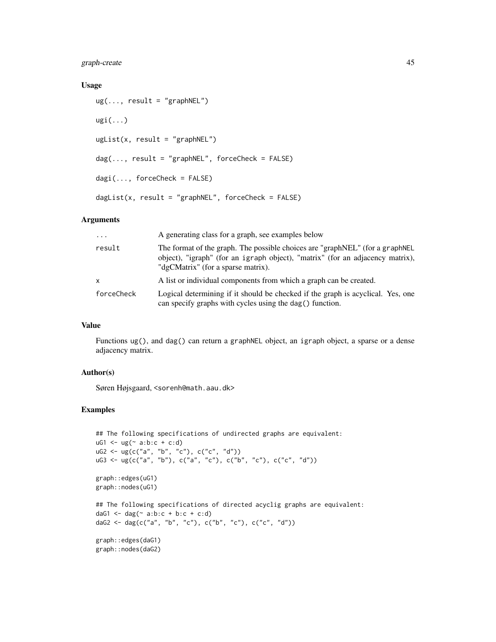# graph-create 45

## Usage

```
ug(..., result = "graphNEL")ugi(...)
ugList(x, result = "graphNEL")dag(\ldots, result = "graphNEL", forceCheck = FALSE)dagi(..., forceCheck = FALSE)dagList(x, result = "graphNEL", forceCheck = FALSE)
```
# Arguments

| $\cdot$    | A generating class for a graph, see examples below                                                                                                                                                  |  |
|------------|-----------------------------------------------------------------------------------------------------------------------------------------------------------------------------------------------------|--|
| result     | The format of the graph. The possible choices are "graphNEL" (for a graphNEL<br>object), "igraph" (for an igraph object), "matrix" (for an adjacency matrix),<br>"dgCMatrix" (for a sparse matrix). |  |
| x          | A list or individual components from which a graph can be created.                                                                                                                                  |  |
| forceCheck | Logical determining if it should be checked if the graph is acyclical. Yes, one<br>can specify graphs with cycles using the dag() function.                                                         |  |

# Value

Functions ug(), and dag() can return a graphNEL object, an igraph object, a sparse or a dense adjacency matrix.

## Author(s)

Søren Højsgaard, <sorenh@math.aau.dk>

```
## The following specifications of undirected graphs are equivalent:
uG1 \leq -ug( ~ a:b:c + c:d)
uG2 <- ug(c("a", "b", "c"), c("c", "d"))
uG3 <- ug(c("a", "b"), c("a", "c"), c("b", "c"), c("c", "d"))
graph::edges(uG1)
graph::nodes(uG1)
## The following specifications of directed acyclig graphs are equivalent:
daG1 \leq dag(\leq a:b:c + b:c + c:d)
daG2 <- dag(c("a", "b", "c"), c("b", "c"), c("c", "d"))
graph::edges(daG1)
graph::nodes(daG2)
```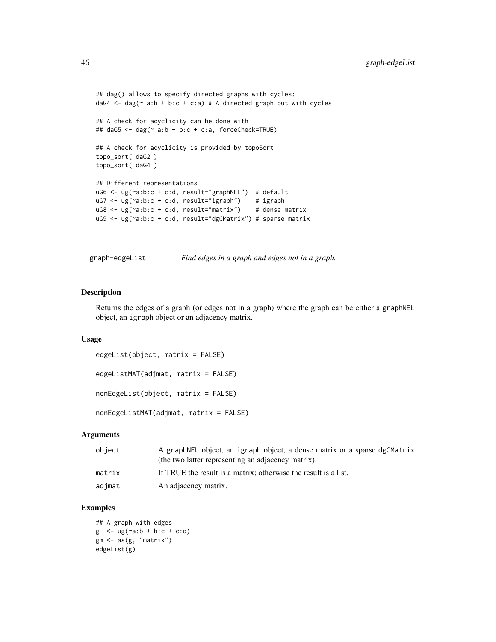```
## dag() allows to specify directed graphs with cycles:
daG4 \leq dag(\leq a:b + b:c + c:a) # A directed graph but with cycles
## A check for acyclicity can be done with
## daG5 <- dag(~ a:b + b:c + c:a, forceCheck=TRUE)
## A check for acyclicity is provided by topoSort
topo_sort( daG2 )
topo_sort( daG4 )
## Different representations
uG6 <- ug(~a:b:c + c:d, result="graphNEL") # default
uG7 <- ug(~a:b:c + c:d, result="igraph") # igraph
uG8 <- ug(~a:b:c + c:d, result="matrix") # dense matrix
uG9 <- ug(~a:b:c + c:d, result="dgCMatrix") # sparse matrix
```

```
graph-edgeList Find edges in a graph and edges not in a graph.
```
## Description

Returns the edges of a graph (or edges not in a graph) where the graph can be either a graphNEL object, an igraph object or an adjacency matrix.

#### Usage

```
edgeList(object, matrix = FALSE)
edgeListMAT(adjmat, matrix = FALSE)
nonEdgeList(object, matrix = FALSE)
nonEdgeListMAT(adjmat, matrix = FALSE)
```
## **Arguments**

| object | A graphNEL object, an igraph object, a dense matrix or a sparse dgCMatrix<br>(the two latter representing an adjacency matrix). |
|--------|---------------------------------------------------------------------------------------------------------------------------------|
| matrix | If TRUE the result is a matrix; otherwise the result is a list.                                                                 |
| adjmat | An adjacency matrix.                                                                                                            |

```
## A graph with edges
g \leq -\frac{ug(\alpha a:b + b:c + c:d)}{}gm \leftarrow as(g, "matrix")edgeList(g)
```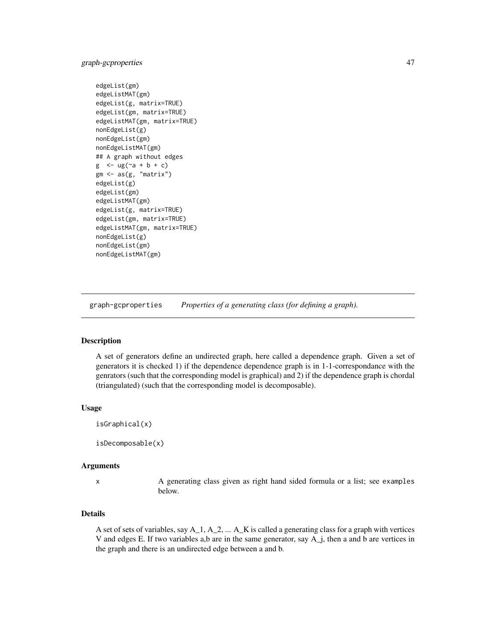# graph-gcproperties 47

```
edgeList(gm)
edgeListMAT(gm)
edgeList(g, matrix=TRUE)
edgeList(gm, matrix=TRUE)
edgeListMAT(gm, matrix=TRUE)
nonEdgeList(g)
nonEdgeList(gm)
nonEdgeListMAT(gm)
## A graph without edges
g \le - \text{ug}(\text{a} + \text{b} + \text{c})gm <- as(g, "matrix")
edgeList(g)
edgeList(gm)
edgeListMAT(gm)
edgeList(g, matrix=TRUE)
edgeList(gm, matrix=TRUE)
edgeListMAT(gm, matrix=TRUE)
nonEdgeList(g)
nonEdgeList(gm)
nonEdgeListMAT(gm)
```
graph-gcproperties *Properties of a generating class (for defining a graph).*

## Description

A set of generators define an undirected graph, here called a dependence graph. Given a set of generators it is checked 1) if the dependence dependence graph is in 1-1-correspondance with the genrators (such that the corresponding model is graphical) and 2) if the dependence graph is chordal (triangulated) (such that the corresponding model is decomposable).

#### Usage

```
isGraphical(x)
```
isDecomposable(x)

#### Arguments

x A generating class given as right hand sided formula or a list; see examples below.

## Details

A set of sets of variables, say A\_1, A\_2, ... A\_K is called a generating class for a graph with vertices V and edges E. If two variables a,b are in the same generator, say A\_j, then a and b are vertices in the graph and there is an undirected edge between a and b.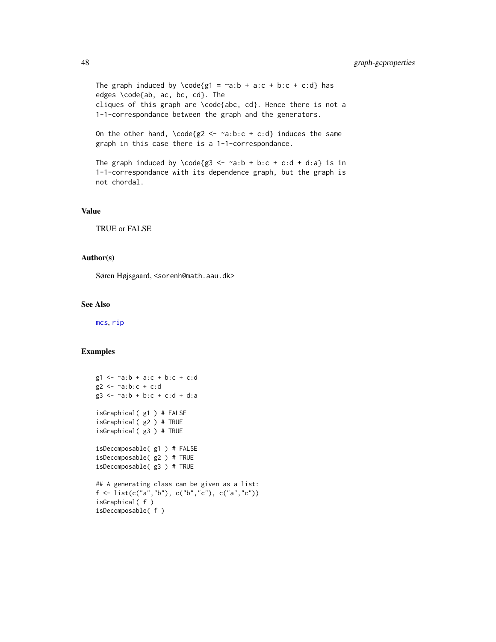The graph induced by \code{g1 =  $\infty$ a:b + a:c + b:c + c:d} has edges \code{ab, ac, bc, cd}. The cliques of this graph are \code{abc, cd}. Hence there is not a 1-1-correspondance between the graph and the generators.

On the other hand,  $\code{code{g2 \le -\text{a:b:c + c:d}}$  induces the same graph in this case there is a 1-1-correspondance.

```
The graph induced by \code{g3 <- \sima:b + b:c + c:d + d:a} is in
1-1-correspondance with its dependence graph, but the graph is
not chordal.
```
### Value

TRUE or FALSE

#### Author(s)

Søren Højsgaard, <sorenh@math.aau.dk>

# See Also

[mcs](#page-51-0), [rip](#page-59-0)

```
g1 <- ~a:b + a:c + b:c + c:d
g2 <- ~a:b:c + c:d
g3 <- ~a:b + b:c + c:d + d:a
isGraphical( g1 ) # FALSE
isGraphical( g2 ) # TRUE
isGraphical( g3 ) # TRUE
isDecomposable( g1 ) # FALSE
isDecomposable( g2 ) # TRUE
isDecomposable( g3 ) # TRUE
## A generating class can be given as a list:
f <- list(c("a","b"), c("b","c"), c("a","c"))
isGraphical( f )
isDecomposable( f )
```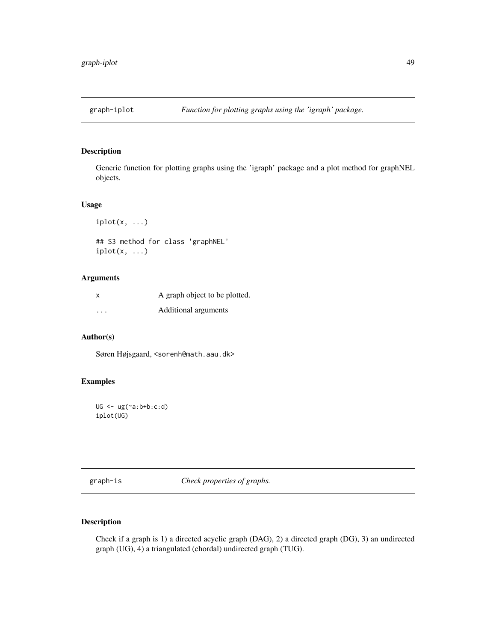# Description

Generic function for plotting graphs using the 'igraph' package and a plot method for graphNEL objects.

## Usage

```
iplot(x, \ldots)## S3 method for class 'graphNEL'
iplot(x, \ldots)
```
# Arguments

| $\boldsymbol{\mathsf{x}}$ | A graph object to be plotted. |
|---------------------------|-------------------------------|
| $\ddot{\phantom{0}}$      | Additional arguments          |

# Author(s)

Søren Højsgaard, <sorenh@math.aau.dk>

# Examples

```
UG \leftarrow ug(\sim a:b+b:c:d)iplot(UG)
```
graph-is *Check properties of graphs.*

# Description

Check if a graph is 1) a directed acyclic graph (DAG), 2) a directed graph (DG), 3) an undirected graph (UG), 4) a triangulated (chordal) undirected graph (TUG).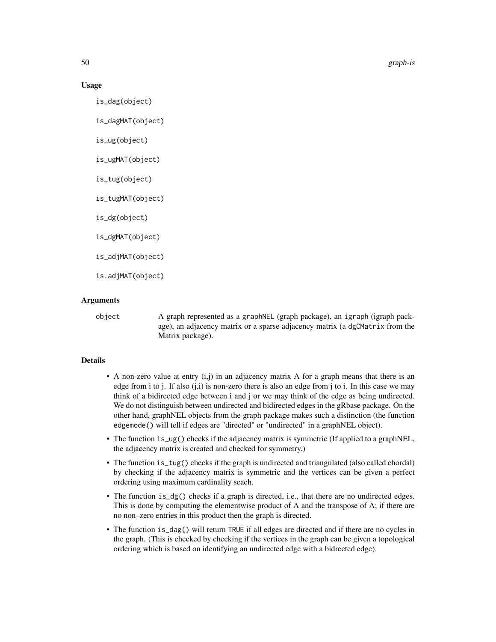50 graph-is

#### Usage

is\_dag(object)

is\_dagMAT(object)

is\_ug(object)

is\_ugMAT(object)

is\_tug(object)

is\_tugMAT(object)

is\_dg(object)

is\_dgMAT(object)

is\_adjMAT(object)

is.adjMAT(object)

### **Arguments**

object A graph represented as a graphNEL (graph package), an igraph (igraph package), an adjacency matrix or a sparse adjacency matrix (a dgCMatrix from the Matrix package).

# **Details**

- A non-zero value at entry (i,j) in an adjacency matrix A for a graph means that there is an edge from i to j. If also  $(j,i)$  is non-zero there is also an edge from j to i. In this case we may think of a bidirected edge between i and j or we may think of the edge as being undirected. We do not distinguish between undirected and bidirected edges in the gRbase package. On the other hand, graphNEL objects from the graph package makes such a distinction (the function edgemode() will tell if edges are "directed" or "undirected" in a graphNEL object).
- The function is  $\log($ ) checks if the adjacency matrix is symmetric (If applied to a graphNEL, the adjacency matrix is created and checked for symmetry.)
- The function is\_tug() checks if the graph is undirected and triangulated (also called chordal) by checking if the adjacency matrix is symmetric and the vertices can be given a perfect ordering using maximum cardinality seach.
- The function is  $dg()$  checks if a graph is directed, i.e., that there are no undirected edges. This is done by computing the elementwise product of A and the transpose of A; if there are no non–zero entries in this product then the graph is directed.
- The function is\_dag() will return TRUE if all edges are directed and if there are no cycles in the graph. (This is checked by checking if the vertices in the graph can be given a topological ordering which is based on identifying an undirected edge with a bidrected edge).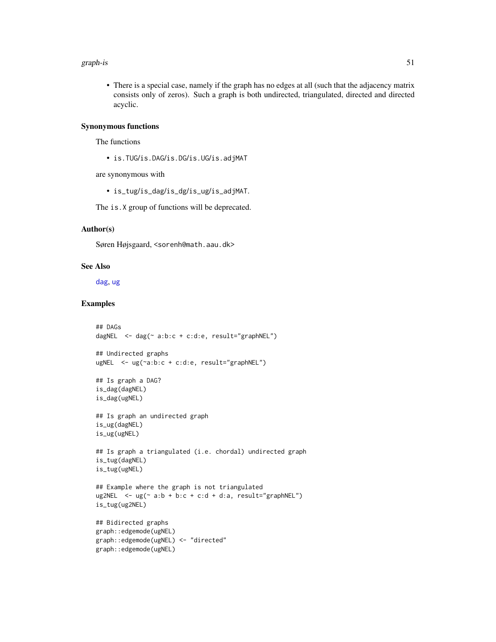#### graph-is 51

• There is a special case, namely if the graph has no edges at all (such that the adjacency matrix consists only of zeros). Such a graph is both undirected, triangulated, directed and directed acyclic.

# Synonymous functions

The functions

• is.TUG/is.DAG/is.DG/is.UG/is.adjMAT

are synonymous with

• is\_tug/is\_dag/is\_dg/is\_ug/is\_adjMAT.

The is.X group of functions will be deprecated.

#### Author(s)

Søren Højsgaard, <sorenh@math.aau.dk>

#### See Also

[dag](#page-43-0), [ug](#page-43-0)

```
## DAGs
dagNEL \leq dag(\leq a:b:c + c:d:e, result="graphNEL")
## Undirected graphs
ugNEL <- ug(~a:b:c + c:d:e, result="graphNEL")
## Is graph a DAG?
is_dag(dagNEL)
is_dag(ugNEL)
## Is graph an undirected graph
is_ug(dagNEL)
is_ug(ugNEL)
## Is graph a triangulated (i.e. chordal) undirected graph
is_tug(dagNEL)
is_tug(ugNEL)
## Example where the graph is not triangulated
ug2NEL \leq - ug(\leq a:b + b:c + c:d + d:a, result="graphNEL")
is_tug(ug2NEL)
## Bidirected graphs
graph::edgemode(ugNEL)
graph::edgemode(ugNEL) <- "directed"
graph::edgemode(ugNEL)
```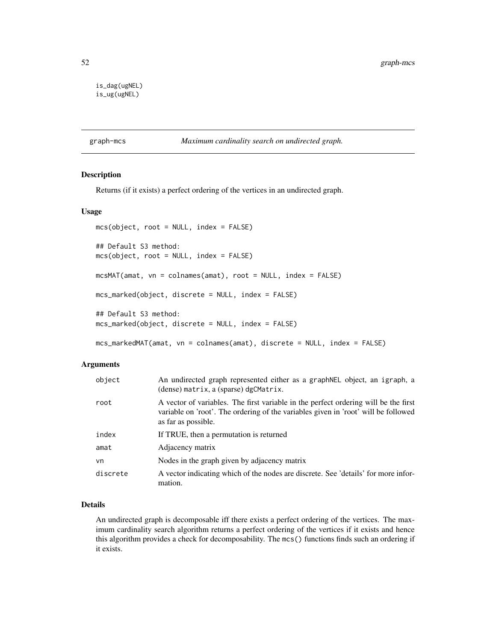```
is_dag(ugNEL)
is_ug(ugNEL)
```
#### graph-mcs *Maximum cardinality search on undirected graph.*

### <span id="page-51-0"></span>Description

Returns (if it exists) a perfect ordering of the vertices in an undirected graph.

#### Usage

```
mcs(object, root = NULL, index = FALSE)
## Default S3 method:
mcs(object, root = NULL, index = FALSE)
mcsMAT(amat, vn = colnames(amat), root = NULL, index = FALSE)
mcs_marked(object, discrete = NULL, index = FALSE)
## Default S3 method:
mcs_marked(object, discrete = NULL, index = FALSE)
mcs_markedMAT(amat, vn = colnames(amat), discrete = NULL, index = FALSE)
```
#### Arguments

| object   | An undirected graph represented either as a graph NEL object, an igraph, a<br>(dense) matrix, a (sparse) dgCMatrix.                                                                              |
|----------|--------------------------------------------------------------------------------------------------------------------------------------------------------------------------------------------------|
| root     | A vector of variables. The first variable in the perfect ordering will be the first<br>variable on 'root'. The ordering of the variables given in 'root' will be followed<br>as far as possible. |
| index    | If TRUE, then a permutation is returned                                                                                                                                                          |
| amat     | Adjacency matrix                                                                                                                                                                                 |
| vn       | Nodes in the graph given by adjacency matrix                                                                                                                                                     |
| discrete | A vector indicating which of the nodes are discrete. See 'details' for more infor-<br>mation.                                                                                                    |

# Details

An undirected graph is decomposable iff there exists a perfect ordering of the vertices. The maximum cardinality search algorithm returns a perfect ordering of the vertices if it exists and hence this algorithm provides a check for decomposability. The mcs() functions finds such an ordering if it exists.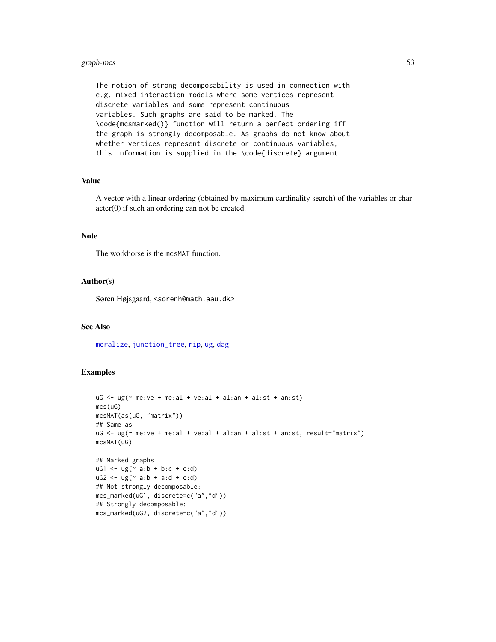# graph-mcs 53

The notion of strong decomposability is used in connection with e.g. mixed interaction models where some vertices represent discrete variables and some represent continuous variables. Such graphs are said to be marked. The \code{mcsmarked()} function will return a perfect ordering iff the graph is strongly decomposable. As graphs do not know about whether vertices represent discrete or continuous variables, this information is supplied in the \code{discrete} argument.

## Value

A vector with a linear ordering (obtained by maximum cardinality search) of the variables or character(0) if such an ordering can not be created.

# Note

The workhorse is the mcsMAT function.

## Author(s)

Søren Højsgaard, <sorenh@math.aau.dk>

## See Also

[moralize](#page-54-0), [junction\\_tree](#page-59-0), [rip](#page-59-0), [ug](#page-43-0), [dag](#page-43-0)

```
uG \leq ug(\sim me:ve + me:al + ve:al + al:an + al:st + an:st)mcs(uG)
mcsMAT(as(uG, "matrix"))
## Same as
uG <- ug(~ me:ve + me:al + ve:al + al:an + al:st + an:st, result="matrix")
mcsMAT(uG)
## Marked graphs
uG1 \leq -ug( a:b + b:c + c:d)
uG2 \leq ug(\sim a:b + a:d + c:d)## Not strongly decomposable:
mcs_marked(uG1, discrete=c("a","d"))
## Strongly decomposable:
mcs_marked(uG2, discrete=c("a","d"))
```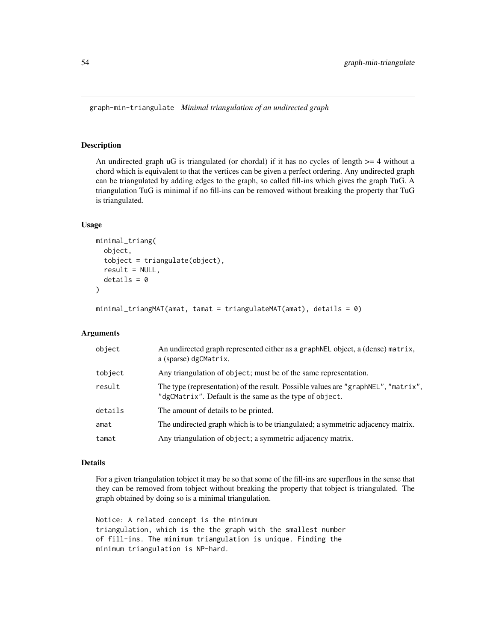graph-min-triangulate *Minimal triangulation of an undirected graph*

#### <span id="page-53-0"></span>Description

An undirected graph  $\mathsf{u}$  is triangulated (or chordal) if it has no cycles of length  $\mathsf{v} = 4$  without a chord which is equivalent to that the vertices can be given a perfect ordering. Any undirected graph can be triangulated by adding edges to the graph, so called fill-ins which gives the graph TuG. A triangulation TuG is minimal if no fill-ins can be removed without breaking the property that TuG is triangulated.

#### Usage

```
minimal_triang(
  object,
  tobject = triangulate(object),
  result = NULL,details = 0)
```
minimal\_triangMAT(amat, tamat = triangulateMAT(amat), details = 0)

#### Arguments

| object  | An undirected graph represented either as a graphNEL object, a (dense) matrix,<br>a (sparse) dgCMatrix.                                       |
|---------|-----------------------------------------------------------------------------------------------------------------------------------------------|
| tobject | Any triangulation of object; must be of the same representation.                                                                              |
| result  | The type (representation) of the result. Possible values are "graphNEL", "matrix",<br>"dgCMatrix". Default is the same as the type of object. |
| details | The amount of details to be printed.                                                                                                          |
| amat    | The undirected graph which is to be triangulated; a symmetric adjacency matrix.                                                               |
| tamat   | Any triangulation of object; a symmetric adjacency matrix.                                                                                    |

#### Details

For a given triangulation tobject it may be so that some of the fill-ins are superflous in the sense that they can be removed from tobject without breaking the property that tobject is triangulated. The graph obtained by doing so is a minimal triangulation.

Notice: A related concept is the minimum triangulation, which is the the graph with the smallest number of fill-ins. The minimum triangulation is unique. Finding the minimum triangulation is NP-hard.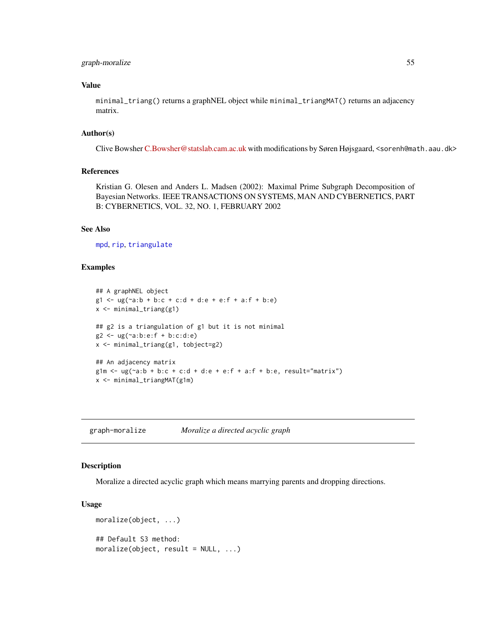# graph-moralize 55

# Value

minimal\_triang() returns a graphNEL object while minimal\_triangMAT() returns an adjacency matrix.

# Author(s)

Clive Bowsher [C.Bowsher@statslab.cam.ac.uk](mailto:C.Bowsher@statslab.cam.ac.uk) with modifications by Søren Højsgaard, <sorenh@math.aau.dk>

#### References

Kristian G. Olesen and Anders L. Madsen (2002): Maximal Prime Subgraph Decomposition of Bayesian Networks. IEEE TRANSACTIONS ON SYSTEMS, MAN AND CYBERNETICS, PART B: CYBERNETICS, VOL. 32, NO. 1, FEBRUARY 2002

#### See Also

[mpd](#page-56-0), [rip](#page-59-0), [triangulate](#page-62-0)

## Examples

```
## A graphNEL object
g1 \leq -\frac{1}{2}(a-b + b:c + c:d + d:e + e:f + a:f + b:e)x <- minimal_triang(g1)
## g2 is a triangulation of g1 but it is not minimal
g2 \leq ug(\neg a:b:e: f + b:c:d:e)x <- minimal_triang(g1, tobject=g2)
## An adjacency matrix
g1m \leq -\frac{1}{2} ug(\alpha a:b + b:c + c:d + d:e + e:f + a:f + b:e, result="matrix")
x <- minimal_triangMAT(g1m)
```
graph-moralize *Moralize a directed acyclic graph*

#### <span id="page-54-0"></span>Description

Moralize a directed acyclic graph which means marrying parents and dropping directions.

#### Usage

```
moralize(object, ...)
## Default S3 method:
moralize(object, result = NULL, ...)
```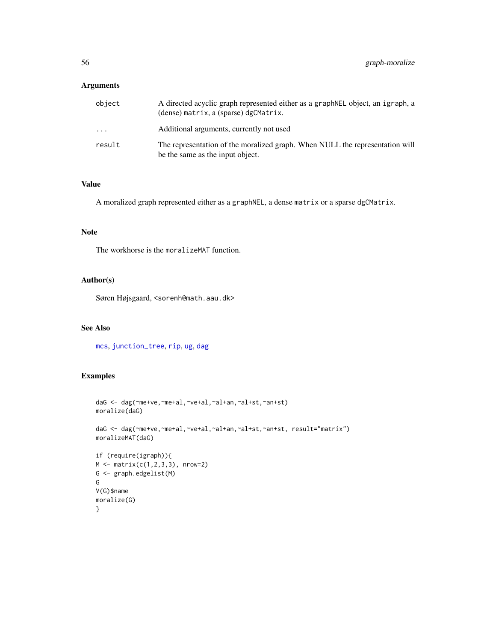# Arguments

| object | A directed acyclic graph represented either as a graph NEL object, an igraph, a<br>(dense) matrix, a (sparse) dgCMatrix. |
|--------|--------------------------------------------------------------------------------------------------------------------------|
| .      | Additional arguments, currently not used                                                                                 |
| result | The representation of the moralized graph. When NULL the representation will<br>be the same as the input object.         |

## Value

A moralized graph represented either as a graphNEL, a dense matrix or a sparse dgCMatrix.

# Note

The workhorse is the moralizeMAT function.

## Author(s)

Søren Højsgaard, <sorenh@math.aau.dk>

# See Also

[mcs](#page-51-0), [junction\\_tree](#page-59-0), [rip](#page-59-0), [ug](#page-43-0), [dag](#page-43-0)

```
daG <- dag(~me+ve,~me+al,~ve+al,~al+an,~al+st,~an+st)
moralize(daG)
daG <- dag(~me+ve,~me+al,~ve+al,~al+an,~al+st,~an+st, result="matrix")
moralizeMAT(daG)
if (require(igraph)){
M \leq - matrix(c(1, 2, 3, 3), nrow=2)
G <- graph.edgelist(M)
G
V(G)$name
moralize(G)
}
```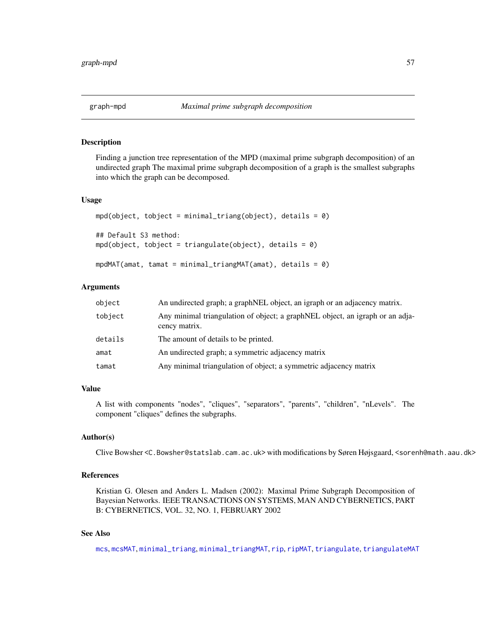# <span id="page-56-0"></span>Description

Finding a junction tree representation of the MPD (maximal prime subgraph decomposition) of an undirected graph The maximal prime subgraph decomposition of a graph is the smallest subgraphs into which the graph can be decomposed.

## Usage

```
mpd(object, tobject = minimal\_triangle(object), details = 0)## Default S3 method:
mpd(object, tobject = triangulate(object), details = 0)
mpdMAT(amat, tamat = minimal_triangMAT(amat), details = 0)
```
## Arguments

| object  | An undirected graph; a graphNEL object, an igraph or an adjacency matrix.                      |
|---------|------------------------------------------------------------------------------------------------|
| tobject | Any minimal triangulation of object; a graphNEL object, an igraph or an adja-<br>cency matrix. |
| details | The amount of details to be printed.                                                           |
| amat    | An undirected graph; a symmetric adjacency matrix                                              |
| tamat   | Any minimal triangulation of object; a symmetric adjacency matrix                              |

#### Value

A list with components "nodes", "cliques", "separators", "parents", "children", "nLevels". The component "cliques" defines the subgraphs.

# Author(s)

Clive Bowsher <C.Bowsher@statslab.cam.ac.uk> with modifications by Søren Højsgaard, <sorenh@math.aau.dk>

## References

Kristian G. Olesen and Anders L. Madsen (2002): Maximal Prime Subgraph Decomposition of Bayesian Networks. IEEE TRANSACTIONS ON SYSTEMS, MAN AND CYBERNETICS, PART B: CYBERNETICS, VOL. 32, NO. 1, FEBRUARY 2002

## See Also

[mcs](#page-51-0), [mcsMAT](#page-51-0), [minimal\\_triang](#page-53-0), [minimal\\_triangMAT](#page-53-0), [rip](#page-59-0), [ripMAT](#page-59-0), [triangulate](#page-62-0), [triangulateMAT](#page-62-0)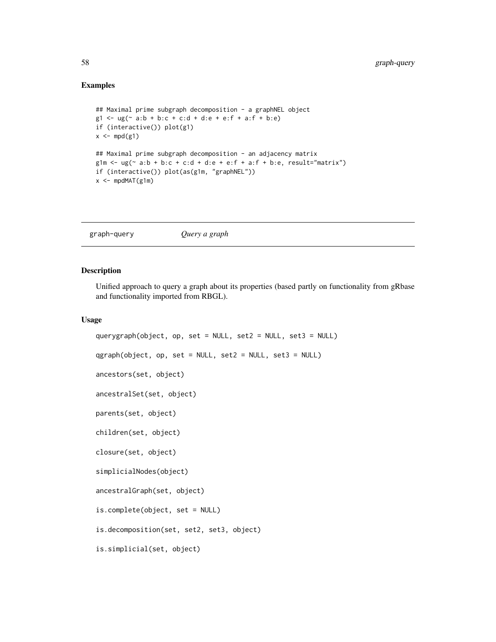## Examples

```
## Maximal prime subgraph decomposition - a graphNEL object
g1 \leq -\frac{ug(\sim a:b + b:c + c:d + d:e + e:f + a:f + b:e)}{h}if (interactive()) plot(g1)
x \leq - \text{mpd}(g1)## Maximal prime subgraph decomposition - an adjacency matrix
g1m \leftarrow ug(\sim a:b + b:c + c:d + d:e + e:f + a:f + b:e, result="matrix")if (interactive()) plot(as(g1m, "graphNEL"))
x < - mpdMAT(g1m)
```
graph-query *Query a graph*

#### Description

Unified approach to query a graph about its properties (based partly on functionality from gRbase and functionality imported from RBGL).

#### Usage

```
querygraph(object, op, set = NULL, set2 = NULL, set3 = NULL)
qgraph(object, op, set = NULL, set2 = NULL, set3 = NULL)
ancestors(set, object)
ancestralSet(set, object)
parents(set, object)
children(set, object)
closure(set, object)
simplicialNodes(object)
ancestralGraph(set, object)
is.complete(object, set = NULL)
is.decomposition(set, set2, set3, object)
is.simplicial(set, object)
```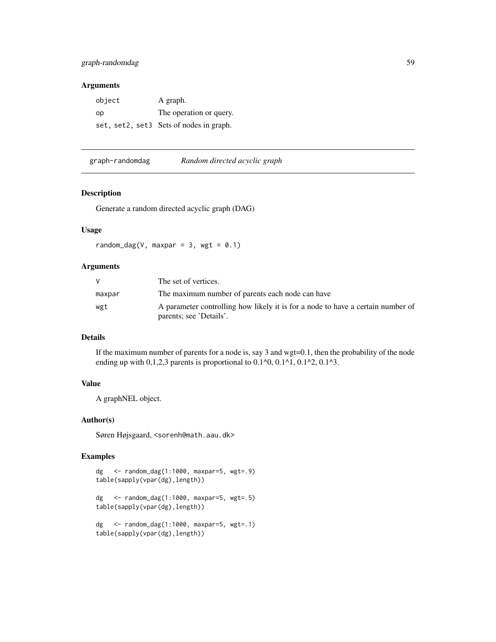## Arguments

| object | A graph.                                |
|--------|-----------------------------------------|
| op     | The operation or query.                 |
|        | set, set2, set3 Sets of nodes in graph. |

graph-randomdag *Random directed acyclic graph*

## Description

Generate a random directed acyclic graph (DAG)

# Usage

random\_dag(V, maxpar = 3, wgt =  $0.1$ )

# Arguments

|        | The set of vertices.                                                                                       |
|--------|------------------------------------------------------------------------------------------------------------|
| maxpar | The maximum number of parents each node can have                                                           |
| wgt    | A parameter controlling how likely it is for a node to have a certain number of<br>parents; see 'Details'. |

# Details

If the maximum number of parents for a node is, say 3 and  $wgt=0.1$ , then the probability of the node ending up with  $0,1,2,3$  parents is proportional to  $0.1^{\circ}0, 0.1^{\circ}1, 0.1^{\circ}2, 0.1^{\circ}3$ .

# Value

A graphNEL object.

## Author(s)

Søren Højsgaard, <sorenh@math.aau.dk>

```
dg <- random_dag(1:1000, maxpar=5, wgt=.9)
table(sapply(vpar(dg),length))
dg <- random_dag(1:1000, maxpar=5, wgt=.5)
table(sapply(vpar(dg),length))
dg <- random_dag(1:1000, maxpar=5, wgt=.1)
table(sapply(vpar(dg),length))
```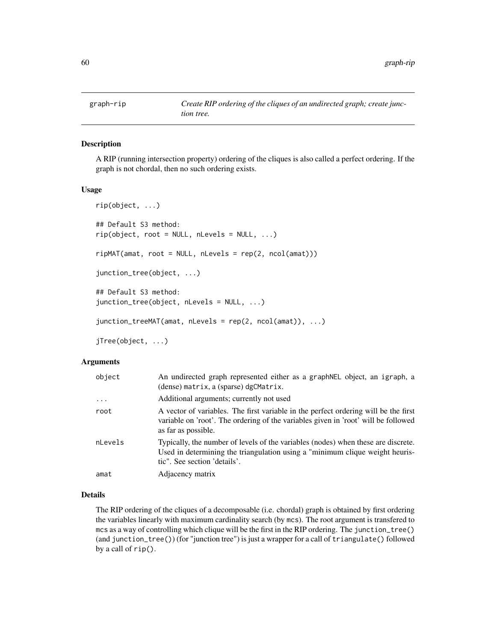# <span id="page-59-0"></span>Description

A RIP (running intersection property) ordering of the cliques is also called a perfect ordering. If the graph is not chordal, then no such ordering exists.

#### Usage

```
rip(object, ...)
## Default S3 method:
rip(object, root = NULL, nLevels = NULL, ...)ripMAT(amat, root = NULL, nLevels = rep(2, ncol(amat)))
junction_tree(object, ...)
## Default S3 method:
junction_tree(object, nLevels = NULL, ...)
junction_treeMAT(amat, nLevels = rep(2, ncol(amat)), ...)
```
jTree(object, ...)

# Arguments

| object   | An undirected graph represented either as a graph NEL object, an igraph, a<br>(dense) matrix, a (sparse) dgCMatrix.                                                                               |
|----------|---------------------------------------------------------------------------------------------------------------------------------------------------------------------------------------------------|
| $\cdots$ | Additional arguments; currently not used                                                                                                                                                          |
| root     | A vector of variables. The first variable in the perfect ordering will be the first<br>variable on 'root'. The ordering of the variables given in 'root' will be followed<br>as far as possible.  |
| nLevels  | Typically, the number of levels of the variables (nodes) when these are discrete.<br>Used in determining the triangulation using a "minimum clique weight heuris-<br>tic". See section 'details'. |
| amat     | Adjacency matrix                                                                                                                                                                                  |

#### Details

The RIP ordering of the cliques of a decomposable (i.e. chordal) graph is obtained by first ordering the variables linearly with maximum cardinality search (by mcs). The root argument is transfered to mcs as a way of controlling which clique will be the first in the RIP ordering. The junction\_tree() (and junction\_tree()) (for "junction tree") is just a wrapper for a call of triangulate() followed by a call of rip().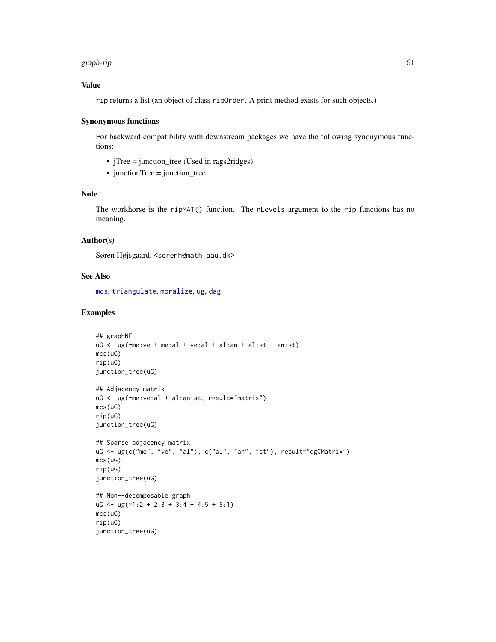#### graph-rip 61

# Value

rip returns a list (an object of class ripOrder. A print method exists for such objects.)

#### Synonymous functions

For backward compatibility with downstream packages we have the following synonymous functions:

- jTree = junction\_tree (Used in rags2ridges)
- junctionTree = junction\_tree

#### Note

The workhorse is the ripMAT() function. The nLevels argument to the rip functions has no meaning.

# Author(s)

Søren Højsgaard, <sorenh@math.aau.dk>

# See Also

[mcs](#page-51-0), [triangulate](#page-62-0), [moralize](#page-54-0), [ug](#page-43-0), [dag](#page-43-0)

```
## graphNEL
uG \leftarrow ug(\text{me:ve} + \text{me:al} + \text{ve:al} + \text{al:an} + \text{al:st} + \text{an:st})mcs(uG)
rip(uG)
junction_tree(uG)
## Adjacency matrix
uG <- ug(~me:ve:al + al:an:st, result="matrix")
mcs(uG)
rip(uG)
junction_tree(uG)
## Sparse adjacency matrix
uG <- ug(c("me", "ve", "al"), c("al", "an", "st"), result="dgCMatrix")
mcs(uG)
rip(uG)
junction_tree(uG)
## Non--decomposable graph
uG \leq -ug(\sim 1:2 + 2:3 + 3:4 + 4:5 + 5:1)mcs(uG)
rip(uG)
junction_tree(uG)
```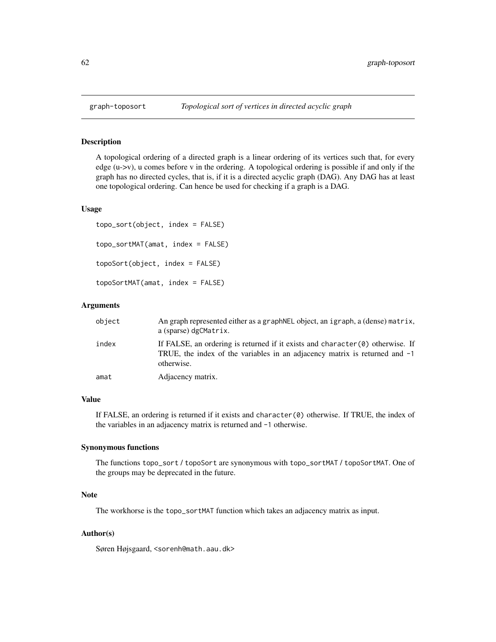# Description

A topological ordering of a directed graph is a linear ordering of its vertices such that, for every edge (u->v), u comes before v in the ordering. A topological ordering is possible if and only if the graph has no directed cycles, that is, if it is a directed acyclic graph (DAG). Any DAG has at least one topological ordering. Can hence be used for checking if a graph is a DAG.

#### Usage

topo\_sort(object, index = FALSE) topo\_sortMAT(amat, index = FALSE) topoSort(object, index = FALSE) topoSortMAT(amat, index = FALSE)

### Arguments

| object | An graph represented either as a graph NEL object, an igraph, a (dense) matrix,<br>a (sparse) dgCMatrix.                                                                     |
|--------|------------------------------------------------------------------------------------------------------------------------------------------------------------------------------|
| index  | If FALSE, an ordering is returned if it exists and character $(0)$ otherwise. If<br>TRUE, the index of the variables in an adjacency matrix is returned and -1<br>otherwise. |
| amat   | Adjacency matrix.                                                                                                                                                            |

# Value

If FALSE, an ordering is returned if it exists and character(0) otherwise. If TRUE, the index of the variables in an adjacency matrix is returned and -1 otherwise.

#### Synonymous functions

The functions topo\_sort / topoSort are synonymous with topo\_sortMAT / topoSortMAT. One of the groups may be deprecated in the future.

# Note

The workhorse is the topo\_sortMAT function which takes an adjacency matrix as input.

## Author(s)

Søren Højsgaard, <sorenh@math.aau.dk>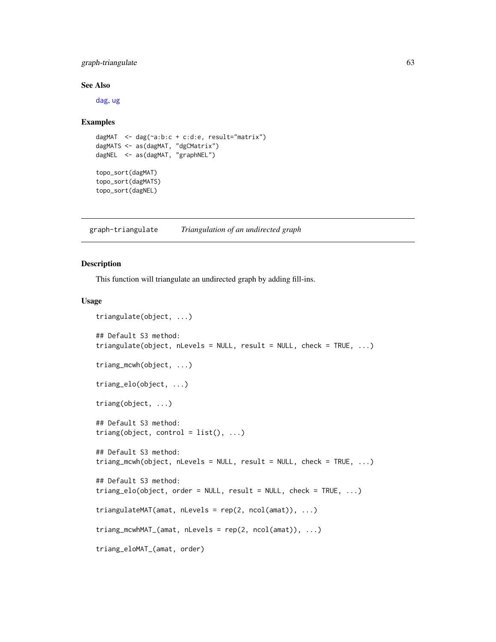# graph-triangulate 63

#### See Also

[dag](#page-43-0), [ug](#page-43-0)

#### Examples

```
dagMAT <- dag(~a:b:c + c:d:e, result="matrix")
dagMATS <- as(dagMAT, "dgCMatrix")
dagNEL <- as(dagMAT, "graphNEL")
topo_sort(dagMAT)
topo_sort(dagMATS)
```
topo\_sort(dagNEL)

graph-triangulate *Triangulation of an undirected graph*

# <span id="page-62-0"></span>Description

This function will triangulate an undirected graph by adding fill-ins.

#### Usage

```
triangulate(object, ...)
## Default S3 method:
triangulate(object, nLevels = NULL, result = NULL, check = TRUE, ...)
triang_mcwh(object, ...)
triang_elo(object, ...)
triang(object, ...)
## Default S3 method:
triang(object, control = list(), ...)
## Default S3 method:
triang_mcwh(object, nLevels = NULL, result = NULL, check = TRUE, ...)
## Default S3 method:
triang_elo(object, order = NULL, result = NULL, check = TRUE, ...)
triangulateMAT(amat, nLevels = rep(2, ncol(amat)), ...)
triang_mcwhMAT_(amat, nLevels = rep(2, ncol(amat)), ...)
triang_eloMAT_(amat, order)
```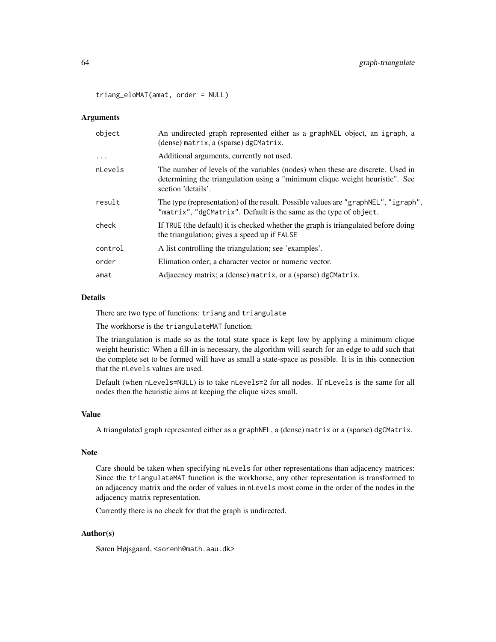triang\_eloMAT(amat, order = NULL)

#### Arguments

| object   | An undirected graph represented either as a graph NEL object, an igraph, a<br>(dense) matrix, a (sparse) dgCMatrix.                                                                  |
|----------|--------------------------------------------------------------------------------------------------------------------------------------------------------------------------------------|
| $\ddots$ | Additional arguments, currently not used.                                                                                                                                            |
| nLevels  | The number of levels of the variables (nodes) when these are discrete. Used in<br>determining the triangulation using a "minimum clique weight heuristic". See<br>section 'details'. |
| result   | The type (representation) of the result. Possible values are "graphNEL", "igraph",<br>"matrix", "dgCMatrix". Default is the same as the type of object.                              |
| check    | If TRUE (the default) it is checked whether the graph is triangulated before doing<br>the triangulation; gives a speed up if FALSE                                                   |
| control  | A list controlling the triangulation; see 'examples'.                                                                                                                                |
| order    | Elimation order; a character vector or numeric vector.                                                                                                                               |
| amat     | Adjacency matrix; a (dense) matrix, or a (sparse) dgCMatrix.                                                                                                                         |
|          |                                                                                                                                                                                      |

#### Details

There are two type of functions: triang and triangulate

The workhorse is the triangulateMAT function.

The triangulation is made so as the total state space is kept low by applying a minimum clique weight heuristic: When a fill-in is necessary, the algorithm will search for an edge to add such that the complete set to be formed will have as small a state-space as possible. It is in this connection that the nLevels values are used.

Default (when nLevels=NULL) is to take nLevels=2 for all nodes. If nLevels is the same for all nodes then the heuristic aims at keeping the clique sizes small.

# Value

A triangulated graph represented either as a graphNEL, a (dense) matrix or a (sparse) dgCMatrix.

#### Note

Care should be taken when specifying nLevels for other representations than adjacency matrices: Since the triangulateMAT function is the workhorse, any other representation is transformed to an adjacency matrix and the order of values in nLevels most come in the order of the nodes in the adjacency matrix representation.

Currently there is no check for that the graph is undirected.

# Author(s)

Søren Højsgaard, <sorenh@math.aau.dk>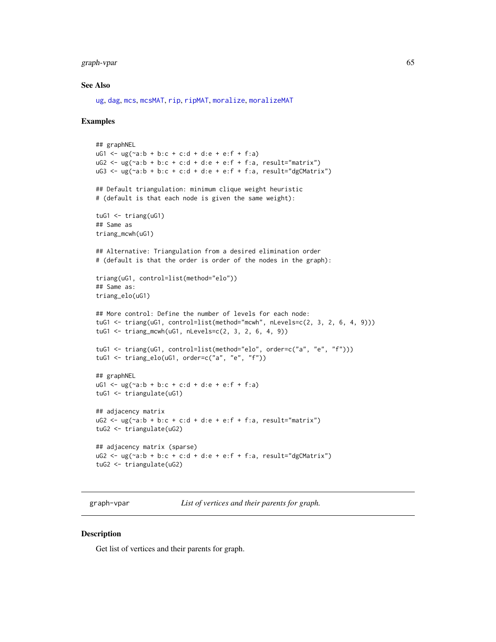graph-vpar 65

#### See Also

[ug](#page-43-0), [dag](#page-43-0), [mcs](#page-51-0), [mcsMAT](#page-51-0), [rip](#page-59-0), [ripMAT](#page-59-0), [moralize](#page-54-0), [moralizeMAT](#page-54-0)

#### Examples

```
## graphNEL
uG1 <- ug(-a:b + b:c + c:d + d:e + e: f + f:a)
uG2 \leq ug(\text{a:b + b:c + c:d + d:e + e:f + f:a, result="matrix")}uG3 \leq ug(\sim a:b + b:c + c:d + d:e + e:f + f:a, result="dgCMatrix")## Default triangulation: minimum clique weight heuristic
# (default is that each node is given the same weight):
tuG1 \leftarrow triang(uG1)## Same as
triang_mcwh(uG1)
## Alternative: Triangulation from a desired elimination order
# (default is that the order is order of the nodes in the graph):
triang(uG1, control=list(method="elo"))
## Same as:
triang_elo(uG1)
## More control: Define the number of levels for each node:
tuG1 <- triang(uG1, control=list(method="mcwh", nLevels=c(2, 3, 2, 6, 4, 9)))
tuG1 <- triang_mcwh(uG1, nLevels=c(2, 3, 2, 6, 4, 9))
tuG1 <- triang(uG1, control=list(method="elo", order=c("a", "e", "f")))
tuG1 <- triang_elo(uG1, order=c("a", "e", "f"))
## graphNEL
uG1 <- \lg(\sim a:b + b:c + c:d + d:e + e:f + f:a)tuG1 <- triangulate(uG1)
## adjacency matrix
uG2 \leq ug(\sim a:b + b:c + c:d + d:e + e:f + f:a, result="matrix")tuG2 <- triangulate(uG2)
## adjacency matrix (sparse)
uG2 \leq ug(\sim a:b + b:c + c:d + d:e + e:f + f:a, result="dgCMatrix")tuG2 <- triangulate(uG2)
```
graph-vpar *List of vertices and their parents for graph.*

#### **Description**

Get list of vertices and their parents for graph.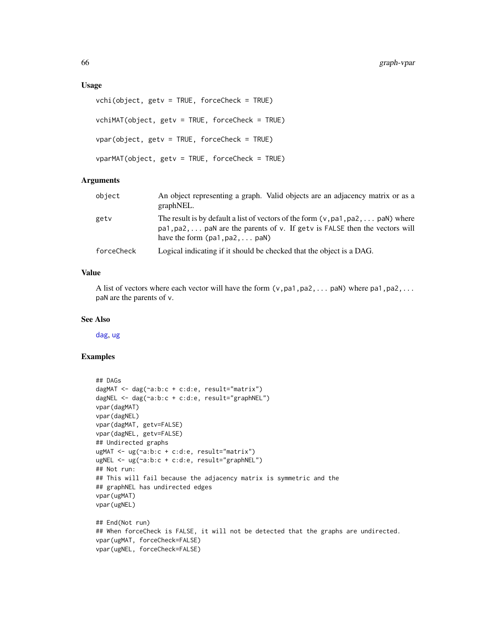#### Usage

```
vchi(object, getv = TRUE, forceCheck = TRUE)
vchiMAT(object, getv = TRUE, forceCheck = TRUE)
vpar(object, getv = TRUE, forceCheck = TRUE)
vparMAT(object, getv = TRUE, forceCheck = TRUE)
```
# Arguments

| object     | An object representing a graph. Valid objects are an adjacency matrix or as a<br>graphNEL.                                                                                                                         |
|------------|--------------------------------------------------------------------------------------------------------------------------------------------------------------------------------------------------------------------|
| getv       | The result is by default a list of vectors of the form $(v, pa1, pa2, \ldots, paN)$ where<br>pa1, pa2,  paN are the parents of v. If getv is FALSE then the vectors will<br>have the form $(pa1, pa2, \ldots$ paN) |
| forceCheck | Logical indicating if it should be checked that the object is a DAG.                                                                                                                                               |

# Value

A list of vectors where each vector will have the form  $(v,pa1,pa2,...$  paN) where  $pa1,pa2,...$ paN are the parents of v.

#### See Also

[dag](#page-43-0), [ug](#page-43-0)

```
## DAGs
dagMAT <- dag(~a:b:c + c:d:e, result="matrix")
dagNEL <- dag(~a:b:c + c:d:e, result="graphNEL")
vpar(dagMAT)
vpar(dagNEL)
vpar(dagMAT, getv=FALSE)
vpar(dagNEL, getv=FALSE)
## Undirected graphs
ugMAT <- ug(~a:b:c + c:d:e, result="matrix")
ugNEL <- ug(~a:b:c + c:d:e, result="graphNEL")
## Not run:
## This will fail because the adjacency matrix is symmetric and the
## graphNEL has undirected edges
vpar(ugMAT)
vpar(ugNEL)
## End(Not run)
## When forceCheck is FALSE, it will not be detected that the graphs are undirected.
vpar(ugMAT, forceCheck=FALSE)
vpar(ugNEL, forceCheck=FALSE)
```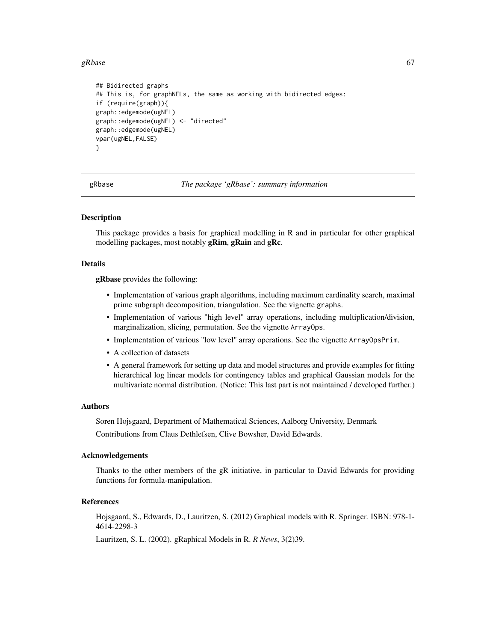#### gRbase  $67$

```
## Bidirected graphs
## This is, for graphNELs, the same as working with bidirected edges:
if (require(graph)){
graph::edgemode(ugNEL)
graph::edgemode(ugNEL) <- "directed"
graph::edgemode(ugNEL)
vpar(ugNEL,FALSE)
}
```
gRbase *The package 'gRbase': summary information*

#### Description

This package provides a basis for graphical modelling in R and in particular for other graphical modelling packages, most notably gRim, gRain and gRc.

# Details

gRbase provides the following:

- Implementation of various graph algorithms, including maximum cardinality search, maximal prime subgraph decomposition, triangulation. See the vignette graphs.
- Implementation of various "high level" array operations, including multiplication/division, marginalization, slicing, permutation. See the vignette ArrayOps.
- Implementation of various "low level" array operations. See the vignette ArrayOpsPrim.
- A collection of datasets
- A general framework for setting up data and model structures and provide examples for fitting hierarchical log linear models for contingency tables and graphical Gaussian models for the multivariate normal distribution. (Notice: This last part is not maintained / developed further.)

#### Authors

Soren Hojsgaard, Department of Mathematical Sciences, Aalborg University, Denmark Contributions from Claus Dethlefsen, Clive Bowsher, David Edwards.

### Acknowledgements

Thanks to the other members of the gR initiative, in particular to David Edwards for providing functions for formula-manipulation.

## References

Hojsgaard, S., Edwards, D., Lauritzen, S. (2012) Graphical models with R. Springer. ISBN: 978-1- 4614-2298-3

Lauritzen, S. L. (2002). gRaphical Models in R. *R News*, 3(2)39.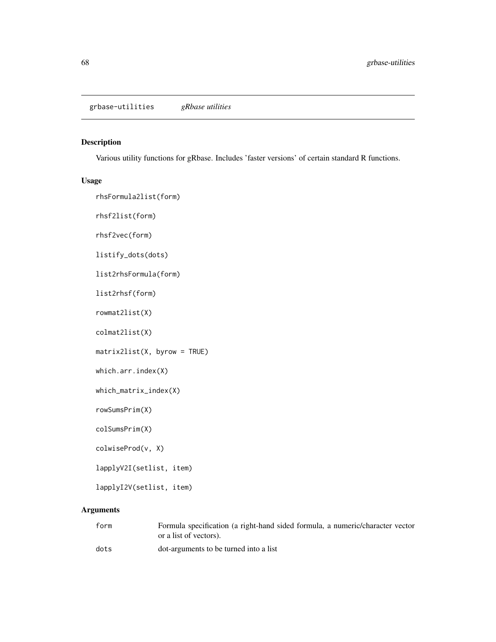# Description

Various utility functions for gRbase. Includes 'faster versions' of certain standard R functions.

## Usage

```
rhsFormula2list(form)
rhsf2list(form)
rhsf2vec(form)
listify_dots(dots)
list2rhsFormula(form)
list2rhsf(form)
rowmat2list(X)
colmat2list(X)
matrix2list(X, byrow = TRUE)
which.arr.index(X)
which_matrix_index(X)
rowSumsPrim(X)
colSumsPrim(X)
colwiseProd(v, X)
lapplyV2I(setlist, item)
lapplyI2V(setlist, item)
```
# Arguments

| form | Formula specification (a right-hand sided formula, a numeric/character vector<br>or a list of vectors). |
|------|---------------------------------------------------------------------------------------------------------|
| dots | dot-arguments to be turned into a list                                                                  |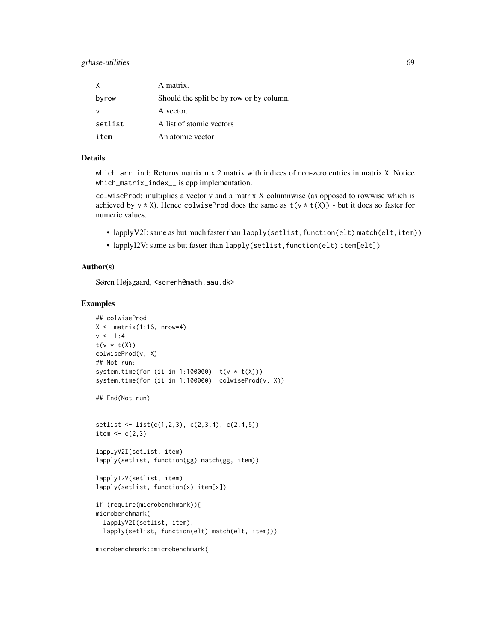# grbase-utilities 69

| X       | A matrix.                                |
|---------|------------------------------------------|
| byrow   | Should the split be by row or by column. |
|         | A vector.                                |
| setlist | A list of atomic vectors                 |
| item    | An atomic vector                         |

#### Details

which.arr.ind: Returns matrix n x 2 matrix with indices of non-zero entries in matrix X. Notice which\_matrix\_index\_\_ is cpp implementation.

colwiseProd: multiplies a vector v and a matrix X columnwise (as opposed to rowwise which is achieved by  $v \times X$ ). Hence colwiseProd does the same as  $t(v \times t(X))$  - but it does so faster for numeric values.

- lapplyV2I: same as but much faster than lapply(setlist, function(elt) match(elt, item))
- lapplyI2V: same as but faster than lapply(setlist, function(elt) item[elt])

#### Author(s)

Søren Højsgaard, <sorenh@math.aau.dk>

```
## colwiseProd
X \leq - matrix(1:16, nrow=4)
v < -1:4t(v * t(X))colwiseProd(v, X)
## Not run:
system.time(for (ii in 1:100000) t(v * t(X)))
system.time(for (ii in 1:100000) colwiseProd(v, X))
## End(Not run)
setlist <- list(c(1,2,3), c(2,3,4), c(2,4,5))
item \leftarrow c(2,3)
lapplyV2I(setlist, item)
lapply(setlist, function(gg) match(gg, item))
lapplyI2V(setlist, item)
lapply(setlist, function(x) item[x])
if (require(microbenchmark)){
microbenchmark(
  lapplyV2I(setlist, item),
  lapply(setlist, function(elt) match(elt, item)))
```
microbenchmark::microbenchmark(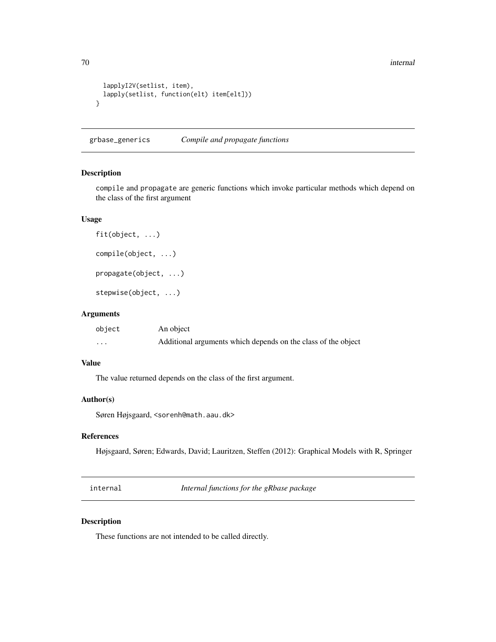```
lapplyI2V(setlist, item),
 lapply(setlist, function(elt) item[elt]))
}
```
grbase\_generics *Compile and propagate functions*

## Description

compile and propagate are generic functions which invoke particular methods which depend on the class of the first argument

# Usage

```
fit(object, ...)
compile(object, ...)
propagate(object, ...)
stepwise(object, ...)
```
#### Arguments

| object               | An object                                                     |
|----------------------|---------------------------------------------------------------|
| $\ddot{\phantom{0}}$ | Additional arguments which depends on the class of the object |

# Value

The value returned depends on the class of the first argument.

## Author(s)

Søren Højsgaard, <sorenh@math.aau.dk>

## References

Højsgaard, Søren; Edwards, David; Lauritzen, Steffen (2012): Graphical Models with R, Springer

internal *Internal functions for the gRbase package*

# Description

These functions are not intended to be called directly.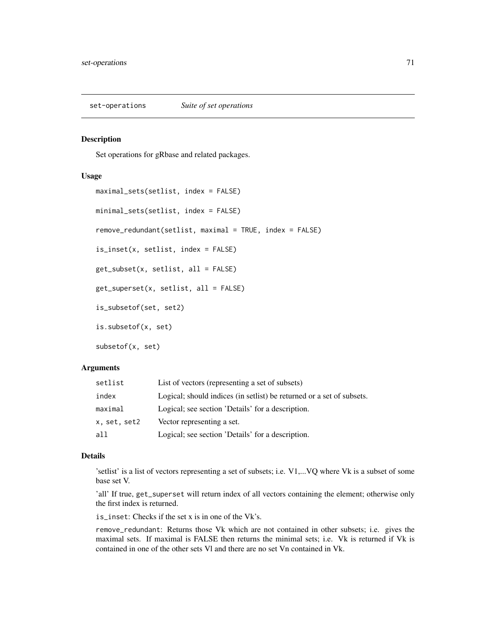set-operations *Suite of set operations*

## Description

Set operations for gRbase and related packages.

## Usage

```
maximal_sets(setlist, index = FALSE)
minimal_sets(setlist, index = FALSE)
remove_redundant(setlist, maximal = TRUE, index = FALSE)
is_inset(x, setlist, index = FALSE)
get_subset(x, setlist, all = FALSE)
get_superset(x, setlist, all = FALSE)
is_subsetof(set, set2)
is.subsetof(x, set)
subsetof(x, set)
```
#### **Arguments**

| setlist      | List of vectors (representing a set of subsets)                        |
|--------------|------------------------------------------------------------------------|
| index        | Logical; should indices (in set list) be returned or a set of subsets. |
| maximal      | Logical; see section 'Details' for a description.                      |
| x, set, set2 | Vector representing a set.                                             |
| all          | Logical; see section 'Details' for a description.                      |

### Details

'setlist' is a list of vectors representing a set of subsets; i.e. V1,...VQ where Vk is a subset of some base set V.

'all' If true, get\_superset will return index of all vectors containing the element; otherwise only the first index is returned.

is\_inset: Checks if the set x is in one of the Vk's.

remove\_redundant: Returns those Vk which are not contained in other subsets; i.e. gives the maximal sets. If maximal is FALSE then returns the minimal sets; i.e. Vk is returned if Vk is contained in one of the other sets Vl and there are no set Vn contained in Vk.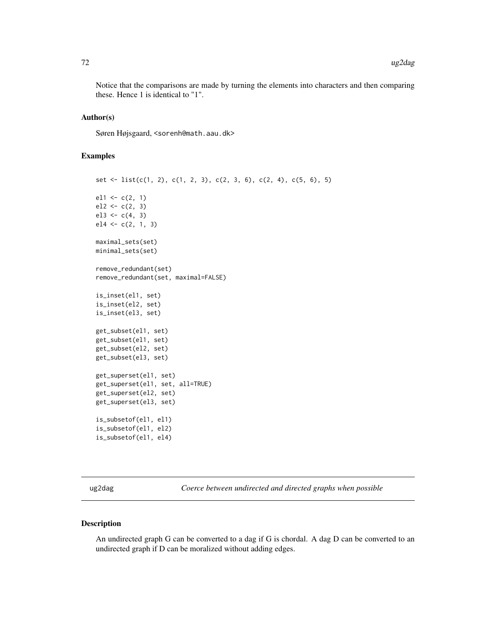Notice that the comparisons are made by turning the elements into characters and then comparing these. Hence 1 is identical to "1".

#### Author(s)

Søren Højsgaard, <sorenh@math.aau.dk>

## Examples

```
set <- list(c(1, 2), c(1, 2, 3), c(2, 3, 6), c(2, 4), c(5, 6), 5)
ell < -c(2, 1)el2 \leftarrow c(2, 3)el3 \leq c(4, 3)el4 \leftarrow c(2, 1, 3)maximal_sets(set)
minimal_sets(set)
remove_redundant(set)
remove_redundant(set, maximal=FALSE)
is_inset(el1, set)
is_inset(el2, set)
is_inset(el3, set)
get_subset(el1, set)
get_subset(el1, set)
get_subset(el2, set)
get_subset(el3, set)
get_superset(el1, set)
get_superset(el1, set, all=TRUE)
get_superset(el2, set)
get_superset(el3, set)
is_subsetof(el1, el1)
is_subsetof(el1, el2)
is_subsetof(el1, el4)
```
ug2dag *Coerce between undirected and directed graphs when possible*

#### Description

An undirected graph G can be converted to a dag if G is chordal. A dag D can be converted to an undirected graph if D can be moralized without adding edges.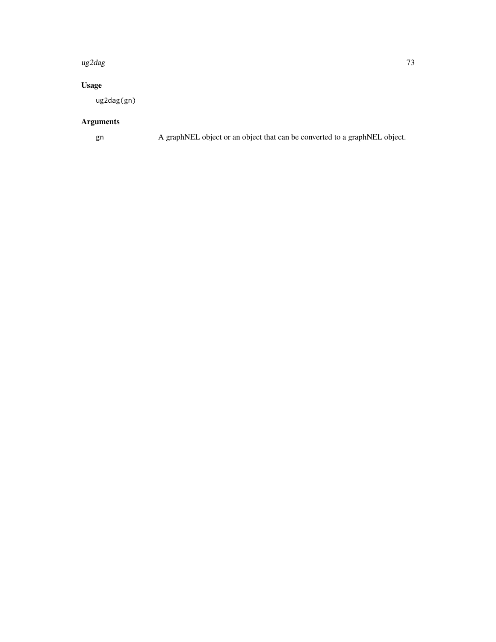#### ug2dag **73**

### Usage

ug2dag(gn)

## Arguments

gn A graphNEL object or an object that can be converted to a graphNEL object.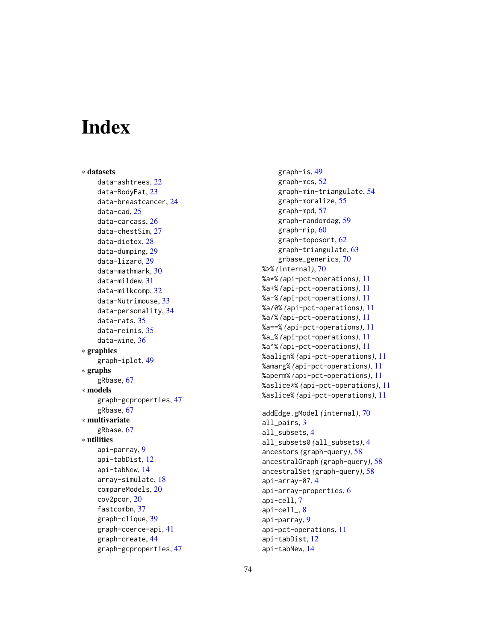# **Index**

∗ datasets data-ashtrees , [22](#page-21-0) data-BodyFat, [23](#page-22-0) data-breastcancer , [24](#page-23-0) data-cad, [25](#page-24-0) data-carcass , [26](#page-25-0) data-chestSim , [27](#page-26-0) data-dietox , [28](#page-27-0) data-dumping , [29](#page-28-0) data-lizard , [29](#page-28-0) data-mathmark , [30](#page-29-0) data-mildew , [31](#page-30-0) data-milkcomp, [32](#page-31-0) data-Nutrimouse , [33](#page-32-0) data-personality , [34](#page-33-0) data-rats , [35](#page-34-0) data-reinis , [35](#page-34-0) data-wine , [36](#page-35-0) ∗ graphics graph-iplot , [49](#page-48-0) ∗ graphs gRbase , [67](#page-66-0) ∗ models graph-gcproperties , [47](#page-46-0) gRbase , [67](#page-66-0) ∗ multivariate gRbase , [67](#page-66-0) ∗ utilities api-parray , [9](#page-8-0) api-tabDist , [12](#page-11-0) api-tabNew , [14](#page-13-0) array-simulate , [18](#page-17-0) compareModels , [20](#page-19-0) cov2pcor , [20](#page-19-0) fastcombn , [37](#page-36-0) graph-clique , [39](#page-38-0) graph-coerce-api , [41](#page-40-0) graph-create , [44](#page-43-0) graph-gcproperties , [47](#page-46-0)

```
graph-is
, 49
    graph-mcs
, 52
    graph-min-triangulate
, 54
    graph-moralize
, 55
    graph-mpd
, 57
    graph-randomdag
, 59
    60
    graph-toposort
, 62
    graph-triangulate
, 63
    grbase_generics
, 70
%>%
(internal
)
, 70
%a*%
(api-pct-operations
)
, 11
%a+%
(api-pct-operations
)
, 11
%a-%
(api-pct-operations
)
, 11
%a/0%
(api-pct-operations
)
, 11
%a/%
(api-pct-operations
)
, 11
%a==%
(api-pct-operations
)
, 11
%a_%
(api-pct-operations
)
, 11
%a^%
(api-pct-operations
)
, 11
%aalign%
(api-pct-operations
)
, 11
%amarg%
(api-pct-operations
)
, 11
%aperm%
(api-pct-operations
)
, 11
%aslice*%
(api-pct-operations
)
, 11
%aslice%
(api-pct-operations
)
, 11
addEdge.gModel
(internal
)
, 70
all_pairs
,
3
all_subsets
,
4
all_subsets0
(all_subsets
)
,
4
ancestors
(graph-query
)
, 58
ancestralGraph
(graph-query
)
, 58
ancestralSet
(graph-query
)
, 58
api-array-07
,
4
6
api-cell
,
7
api-cell_
,
8
```
api-parray , [9](#page-8-0)

api-tabDist , [12](#page-11-0) api-tabNew , [14](#page-13-0)

api-pct-operations , [11](#page-10-0)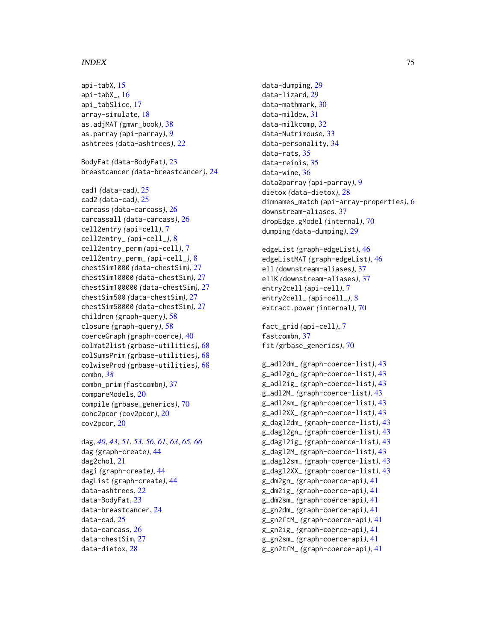### INDEX 75

api-tabX, [15](#page-14-0) api-tabX\_, [16](#page-15-0) api\_tabSlice, [17](#page-16-0) array-simulate, [18](#page-17-0) as.adjMAT *(*gmwr\_book*)*, [38](#page-37-0) as.parray *(*api-parray*)*, [9](#page-8-0) ashtrees *(*data-ashtrees*)*, [22](#page-21-0) BodyFat *(*data-BodyFat*)*, [23](#page-22-0) breastcancer *(*data-breastcancer*)*, [24](#page-23-0) cad1 *(*data-cad*)*, [25](#page-24-0) cad2 *(*data-cad*)*, [25](#page-24-0) carcass *(*data-carcass*)*, [26](#page-25-0) carcassall *(*data-carcass*)*, [26](#page-25-0) cell2entry *(*api-cell*)*, [7](#page-6-0) cell2entry\_ *(*api-cell\_*)*, [8](#page-7-0) cell2entry\_perm *(*api-cell*)*, [7](#page-6-0) cell2entry\_perm\_ *(*api-cell\_*)*, [8](#page-7-0) chestSim1000 *(*data-chestSim*)*, [27](#page-26-0) chestSim10000 *(*data-chestSim*)*, [27](#page-26-0) chestSim100000 *(*data-chestSim*)*, [27](#page-26-0) chestSim500 *(*data-chestSim*)*, [27](#page-26-0) chestSim50000 *(*data-chestSim*)*, [27](#page-26-0) children *(*graph-query*)*, [58](#page-57-0) closure *(*graph-query*)*, [58](#page-57-0) coerceGraph *(*graph-coerce*)*, [40](#page-39-0) colmat2list *(*grbase-utilities*)*, [68](#page-67-0) colSumsPrim *(*grbase-utilities*)*, [68](#page-67-0) colwiseProd *(*grbase-utilities*)*, [68](#page-67-0) combn, *[38](#page-37-0)* combn\_prim *(*fastcombn*)*, [37](#page-36-0) compareModels, [20](#page-19-0) compile *(*grbase\_generics*)*, [70](#page-69-0) conc2pcor *(*cov2pcor*)*, [20](#page-19-0) cov2pcor, [20](#page-19-0) dag, *[40](#page-39-0)*, *[43](#page-42-0)*, *[51](#page-50-0)*, *[53](#page-52-0)*, *[56](#page-55-0)*, *[61](#page-60-0)*, *[63](#page-62-0)*, *[65,](#page-64-0) [66](#page-65-0)* dag *(*graph-create*)*, [44](#page-43-0) dag2chol, [21](#page-20-0) dagi *(*graph-create*)*, [44](#page-43-0) dagList *(*graph-create*)*, [44](#page-43-0) data-ashtrees, [22](#page-21-0) data-BodyFat, [23](#page-22-0)

data-breastcancer, [24](#page-23-0)

data-cad, [25](#page-24-0) data-carcass, [26](#page-25-0) data-chestSim, [27](#page-26-0) data-dietox, [28](#page-27-0)

data-dumping, [29](#page-28-0) data-lizard, [29](#page-28-0) data-mathmark, [30](#page-29-0) data-mildew, [31](#page-30-0) data-milkcomp, [32](#page-31-0) data-Nutrimouse, [33](#page-32-0) data-personality, [34](#page-33-0) data-rats, [35](#page-34-0) data-reinis, [35](#page-34-0) data-wine, [36](#page-35-0) data2parray *(*api-parray*)*, [9](#page-8-0) dietox *(*data-dietox*)*, [28](#page-27-0) dimnames\_match *(*api-array-properties*)*, [6](#page-5-0) downstream-aliases, [37](#page-36-0) dropEdge.gModel *(*internal*)*, [70](#page-69-0) dumping *(*data-dumping*)*, [29](#page-28-0) edgeList *(*graph-edgeList*)*, [46](#page-45-0) edgeListMAT *(*graph-edgeList*)*, [46](#page-45-0) ell *(*downstream-aliases*)*, [37](#page-36-0) ellK *(*downstream-aliases*)*, [37](#page-36-0) entry2cell *(*api-cell*)*, [7](#page-6-0) entry2cell\_ *(*api-cell\_*)*, [8](#page-7-0) extract.power *(*internal*)*, [70](#page-69-0) fact\_grid *(*api-cell*)*, [7](#page-6-0) fastcombn, [37](#page-36-0) fit *(*grbase\_generics*)*, [70](#page-69-0) g\_adl2dm\_ *(*graph-coerce-list*)*, [43](#page-42-0) g\_adl2gn\_ *(*graph-coerce-list*)*, [43](#page-42-0)

```
g_adl2ig_ (graph-coerce-list), 43
g_adl2M_ (graph-coerce-list), 43
g_adl2sm_ (graph-coerce-list), 43
g_adl2XX_ (graph-coerce-list), 43
g_dagl2dm_ (graph-coerce-list), 43
g_dagl2gn_ (graph-coerce-list), 43
g_dagl2ig_ (graph-coerce-list), 43
g_dagl2M_ (graph-coerce-list), 43
g_dagl2sm_ (graph-coerce-list), 43
g_dagl2XX_ (graph-coerce-list), 43
g_dm2gn_ (graph-coerce-api), 41
g_dm2ig_ (graph-coerce-api), 41
g_dm2sm_ (graph-coerce-api), 41
g_gn2dm_ (graph-coerce-api), 41
g_gn2ftM_ (graph-coerce-api), 41
g_gn2ig_ (graph-coerce-api), 41
g_gn2sm_ (graph-coerce-api), 41
g_gn2tfM_ (graph-coerce-api), 41
```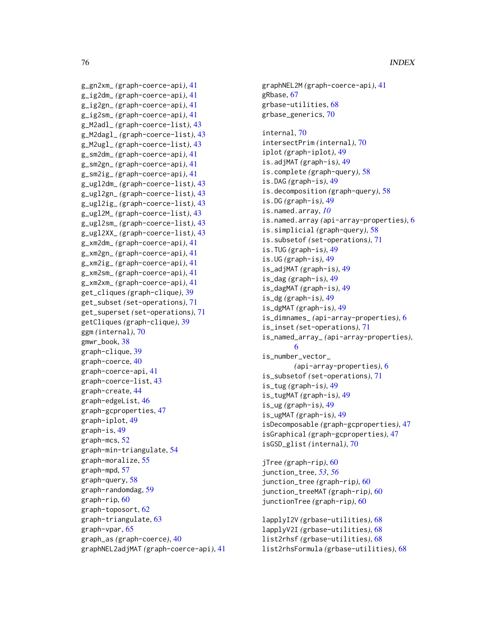```
g_gn2xm_ (graph-coerce-api), 41
g_ig2dm_ (graph-coerce-api), 41
g_ig2gn_ (graph-coerce-api), 41
g_ig2sm_ (graph-coerce-api), 41
g_M2adl_ (graph-coerce-list), 43
g_M2dagl_ (graph-coerce-list), 43
g_M2ugl_ (graph-coerce-list), 43
g_sm2dm_ (graph-coerce-api), 41
g_sm2gn_ (graph-coerce-api), 41
g_sm2ig_ (graph-coerce-api), 41
g_ugl2dm_ (graph-coerce-list), 43
g_ugl2gn_ (graph-coerce-list), 43
g_ugl2ig_ (graph-coerce-list), 43
g_ugl2M_ (graph-coerce-list), 43
g_ugl2sm_ (graph-coerce-list), 43
g_ugl2XX_ (graph-coerce-list), 43
g_xm2dm_ (graph-coerce-api), 41
g_xm2gn_ (graph-coerce-api), 41
g_xm2ig_ (graph-coerce-api), 41
g_xm2sm_ (graph-coerce-api), 41
g_xm2xm_ (graph-coerce-api), 41
get_cliques (graph-clique), 39
get_subset (set-operations), 71
get_superset (set-operations), 71
getCliques (graph-clique), 39
ggm (internal), 70
gmwr_book, 38
graph-clique, 39
graph-coerce, 40
graph-coerce-api, 41
graph-coerce-list, 43
graph-create, 44
graph-edgeList, 46
graph-gcproperties, 47
graph-iplot, 49
graph-is, 49
graph-mcs, 52
graph-min-triangulate, 54
graph-moralize, 55
graph-mpd, 57
graph-query, 58
graph-randomdag, 59
graph-rip, 60
graph-toposort, 62
graph-triangulate, 63
graph-vpar, 65
graph_as (graph-coerce), 40
graphNEL2adjMAT (graph-coerce-api), 41
```

```
grbase-utilities, 68
grbase_generics, 70
internal, 70
intersectPrim (internal), 70
iplot (graph-iplot), 49
is.adjMAT (graph-is), 49
is.complete (graph-query), 58
is.DAG (graph-is), 49
is.decomposition (graph-query), 58
is.DG (graph-is), 49
is.named.array, 10
is.named.array (api-array-properties), 6
is.simplicial (graph-query), 58
is.subsetof (set-operations), 71
is.TUG (graph-is), 49
is.UG (graph-is), 49
is_adjMAT (graph-is), 49
is_dag (graph-is), 49
is_dagMAT (graph-is), 49
is_dg (graph-is), 49
is_dgMAT (graph-is), 49
is_dimnames_ (api-array-properties), 6
is_inset (set-operations), 71
is_named_array_ (api-array-properties),
        6
is_number_vector_
        (api-array-properties), 6
is_subsetof (set-operations), 71
is_tug (graph-is), 49
is_tugMAT (graph-is), 49
is_ug (graph-is), 49
is_ugMAT (graph-is), 49
isDecomposable (graph-gcproperties), 47
isGraphical (graph-gcproperties), 47
isGSD_glist (internal), 70
jTree (graph-rip), 60
```
graphNEL2M *(*graph-coerce-api*)*, [41](#page-40-0)

gRbase, [67](#page-66-0)

junction\_tree, *[53](#page-52-0)*, *[56](#page-55-0)* junction\_tree *(*graph-rip*)*, [60](#page-59-0) junction\_treeMAT *(*graph-rip*)*, [60](#page-59-0) junctionTree *(*graph-rip*)*, [60](#page-59-0)

```
lapplyI2V (grbase-utilities), 68
lapplyV2I (grbase-utilities), 68
list2rhsf (grbase-utilities), 68
list2rhsFormula (grbase-utilities), 68
```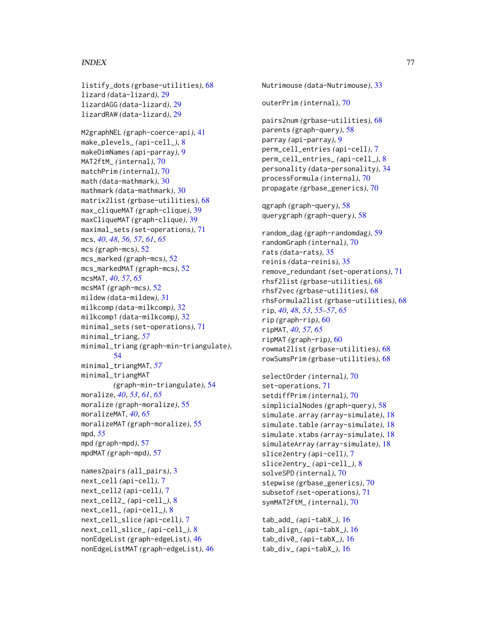### INDEX 277

```
listify_dots (grbase-utilities), 68
lizard (data-lizard), 29
lizardAGG (data-lizard), 29
lizardRAW (data-lizard), 29
M2graphNEL (graph-coerce-api), 41
make_plevels_ (api-cell_), 8
makeDimNames (api-parray), 9
MAT2ftM_ (internal), 70
matchPrim (internal), 70
math (data-mathmark), 30
mathmark (data-mathmark), 30
matrix2list (grbase-utilities), 68
max_cliqueMAT (graph-clique), 39
maxCliqueMAT (graph-clique), 39
maximal_sets (set-operations), 71
mcs, 40, 48, 56, 57, 61, 65
mcs (graph-mcs), 52
mcs_marked (graph-mcs), 52
mcs_markedMAT (graph-mcs), 52
mcsMAT, 40, 57, 65
mcsMAT (graph-mcs), 52
mildew (data-mildew), 31
milkcomp (data-milkcomp), 32
milkcomp1 (data-milkcomp), 32
minimal_sets (set-operations), 71
minimal_triang, 57
minimal_triang (graph-min-triangulate),
        54
minimal_triangMAT, 57
minimal_triangMAT
        (graph-min-triangulate), 54
moralize, 40, 53, 61, 65
moralize (graph-moralize), 55
moralizeMAT, 40, 65
moralizeMAT (graph-moralize), 55
mpd, 55
mpd (graph-mpd), 57
mpdMAT (graph-mpd), 57
names2pairs (all_pairs), 3
next_cell (api-cell), 7
next_cell2 (api-cell), 7
next_cell2_ (api-cell_), 8
next_cell_ (api-cell_), 8
next_cell_slice (api-cell), 7
next_cell_slice_ (api-cell_), 8
```
nonEdgeList *(*graph-edgeList*)*, [46](#page-45-0) nonEdgeListMAT *(*graph-edgeList*)*, [46](#page-45-0) pairs2num *(*grbase-utilities*)*, [68](#page-67-0) parents *(*graph-query*)*, [58](#page-57-0) parray *(*api-parray*)*, [9](#page-8-0) perm\_cell\_entries *(*api-cell*)*, [7](#page-6-0) perm\_cell\_entries\_ *(*api-cell\_*)*, [8](#page-7-0) personality *(*data-personality*)*, [34](#page-33-0) processFormula *(*internal*)*, [70](#page-69-0) propagate *(*grbase\_generics*)*, [70](#page-69-0) qgraph *(*graph-query*)*, [58](#page-57-0) querygraph *(*graph-query*)*, [58](#page-57-0) random\_dag *(*graph-randomdag*)*, [59](#page-58-0) randomGraph *(*internal*)*, [70](#page-69-0) rats *(*data-rats*)*, [35](#page-34-0) reinis *(*data-reinis*)*, [35](#page-34-0) remove\_redundant *(*set-operations*)*, [71](#page-70-0) rhsf2list *(*grbase-utilities*)*, [68](#page-67-0) rhsf2vec *(*grbase-utilities*)*, [68](#page-67-0) rhsFormula2list *(*grbase-utilities*)*, [68](#page-67-0) rip, *[40](#page-39-0)*, *[48](#page-47-0)*, *[53](#page-52-0)*, *[55](#page-54-0)[–57](#page-56-0)*, *[65](#page-64-0)* rip *(*graph-rip*)*, [60](#page-59-0) ripMAT, *[40](#page-39-0)*, *[57](#page-56-0)*, *[65](#page-64-0)* ripMAT *(*graph-rip*)*, [60](#page-59-0) rowmat2list *(*grbase-utilities*)*, [68](#page-67-0) rowSumsPrim *(*grbase-utilities*)*, [68](#page-67-0) selectOrder *(*internal*)*, [70](#page-69-0) set-operations, [71](#page-70-0) setdiffPrim *(*internal*)*, [70](#page-69-0) simplicialNodes *(*graph-query*)*, [58](#page-57-0) simulate.array *(*array-simulate*)*, [18](#page-17-0) simulate.table *(*array-simulate*)*, [18](#page-17-0) simulate.xtabs *(*array-simulate*)*, [18](#page-17-0) simulateArray *(*array-simulate*)*, [18](#page-17-0) slice2entry *(*api-cell*)*, [7](#page-6-0) slice2entry\_ *(*api-cell\_*)*, [8](#page-7-0) solveSPD *(*internal*)*, [70](#page-69-0) stepwise *(*grbase\_generics*)*, [70](#page-69-0) subsetof *(*set-operations*)*, [71](#page-70-0) symMAT2ftM\_ *(*internal*)*, [70](#page-69-0) tab\_add\_ *(*api-tabX\_*)*, [16](#page-15-0) tab\_align\_ *(*api-tabX\_*)*, [16](#page-15-0) tab\_div0\_ *(*api-tabX\_*)*, [16](#page-15-0) tab\_div\_ *(*api-tabX\_*)*, [16](#page-15-0)

Nutrimouse *(*data-Nutrimouse*)*, [33](#page-32-0)

outerPrim *(*internal*)*, [70](#page-69-0)